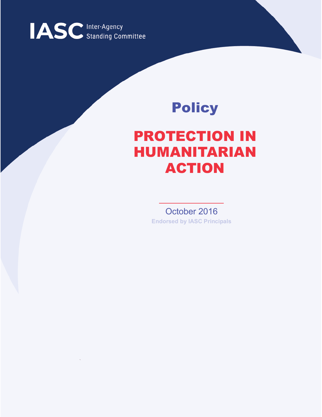

# Policy

# PROTECTION IN HUMANITARIAN ACTION

October 2016 **Endorsed by IASC Principals**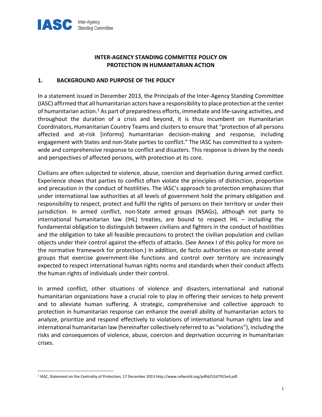

## INTER-AGENCY STANDING COMMITTEE POLICY ON PROTECTION IN HUMANITARIAN ACTION

## 1. BACKGROUND AND PURPOSE OF THE POLICY

In a statement issued in December 2013, the Principals of the Inter-Agency Standing Committee (IASC) affirmed that all humanitarian actors have a responsibility to place protection at the center of humanitarian action.<sup>1</sup> As part of preparedness efforts, immediate and life-saving activities, and throughout the duration of a crisis and beyond, it is thus incumbent on Humanitarian Coordinators, Humanitarian Country Teams and clusters to ensure that "protection of all persons affected and at-risk [informs] humanitarian decision-making and response, including engagement with States and non-State parties to conflict." The IASC has committed to a systemwide and comprehensive response to conflict and disasters. This response is driven by the needs and perspectives of affected persons, with protection at its core.

Civilians are often subjected to violence, abuse, coercion and deprivation during armed conflict. Experience shows that parties to conflict often violate the principles of distinction, proportion and precaution in the conduct of hostilities. The IASC's approach to protection emphasizes that under international law authorities at all levels of government hold the primary obligation and responsibility to respect, protect and fulfil the rights of persons on their territory or under their jurisdiction. In armed conflict, non-State armed groups (NSAGs), although not party to international humanitarian law (IHL) treaties, are bound to respect IHL – including the fundamental obligation to distinguish between civilians and fighters in the conduct of hostilities and the obligation to take all feasible precautions to protect the civilian population and civilian objects under their control against the effects of attacks. (See Annex I of this policy for more on the normative framework for protection.) In addition, de facto authorities or non-state armed groups that exercise government-like functions and control over territory are increasingly expected to respect international human rights norms and standards when their conduct affects the human rights of individuals under their control.

In armed conflict, other situations of violence and disasters, international and national humanitarian organizations have a crucial role to play in offering their services to help prevent and to alleviate human suffering. A strategic, comprehensive and collective approach to protection in humanitarian response can enhance the overall ability of humanitarian actors to analyze, prioritize and respond effectively to violations of international human rights law and international humanitarian law (hereinafter collectively referred to as "violations"), including the risks and consequences of violence, abuse, coercion and deprivation occurring in humanitarian crises.

 $\overline{a}$ 

<sup>1</sup> IASC, Statement on the Centrality of Protection, 17 December 2013 http://www.refworld.org/pdfid/52d7915e4.pdf.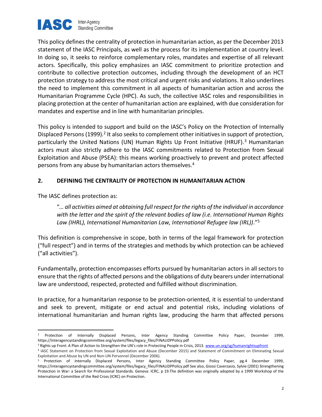

This policy defines the centrality of protection in humanitarian action, as per the December 2013 statement of the IASC Principals, as well as the process for its implementation at country level. In doing so, it seeks to reinforce complementary roles, mandates and expertise of all relevant actors. Specifically, this policy emphasizes an IASC commitment to prioritize protection and contribute to collective protection outcomes, including through the development of an HCT protection strategy to address the most critical and urgent risks and violations. It also underlines the need to implement this commitment in all aspects of humanitarian action and across the Humanitarian Programme Cycle (HPC). As such, the collective IASC roles and responsibilities in placing protection at the center of humanitarian action are explained, with due consideration for mandates and expertise and in line with humanitarian principles.

This policy is intended to support and build on the IASC's Policy on the Protection of Internally Displaced Persons (1999).<sup>2</sup> It also seeks to complement other initiatives in support of protection, particularly the United Nations (UN) Human Rights Up Front Initiative (HRUF).<sup>3</sup> Humanitarian actors must also strictly adhere to the IASC commitments related to Protection from Sexual Exploitation and Abuse (PSEA): this means working proactively to prevent and protect affected persons from any abuse by humanitarian actors themselves.<sup>4</sup>

## 2. DEFINING THE CENTRALITY OF PROTECTION IN HUMANITARIAN ACTION

The IASC defines protection as:

"… all activities aimed at obtaining full respect for the rights of the individual in accordance with the letter and the spirit of the relevant bodies of law (i.e. International Human Rights Law (IHRL), International Humanitarian Law, International Refugee law (IRL))."<sup>5</sup>

This definition is comprehensive in scope, both in terms of the legal framework for protection ("full respect") and in terms of the strategies and methods by which protection can be achieved ("all activities").

Fundamentally, protection encompasses efforts pursued by humanitarian actors in all sectors to ensure that the rights of affected persons and the obligations of duty bearers under international law are understood, respected, protected and fulfilled without discrimination.

In practice, for a humanitarian response to be protection-oriented, it is essential to understand and seek to prevent, mitigate or end actual and potential risks, including violations of international humanitarian and human rights law, producing the harm that affected persons

<sup>2</sup> Protection of Internally Displaced Persons, Inter Agency Standing Committee Policy Paper, December 1999, https://interagencystandingcommittee.org/system/files/legacy\_files/FINALIDPPolicy.pdf

<sup>&</sup>lt;sup>3</sup> Rights up Front: A Plan of Action to Strengthen the UN's role in Protecting People in Crisis, 2013. www.un.org/sg/humanrightsupfront

<sup>4</sup> IASC Statement on Protection from Sexual Exploitation and Abuse (December 2015) and Statement of Commitment on Eliminating Sexual Exploitation and Abuse by UN and Non-UN Personnel (December 2006).

<sup>&</sup>lt;sup>5</sup> Protection of Internally Displaced Persons, Inter Agency Standing Committee Policy Paper, pg.4 December 1999, https://interagencystandingcommittee.org/system/files/legacy\_files/FINALIDPPolicy.pdf See also, Giossi Caverzasio, Sylvie (2001) Strengthening Protection in War: a Search for Professional Standards. Geneva: ICRC, p 19.The definition was originally adopted by a 1999 Workshop of the International Committee of the Red Cross (ICRC) on Protection.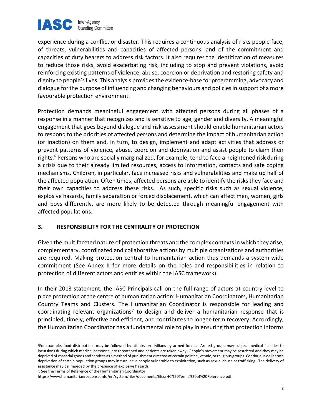

experience during a conflict or disaster. This requires a continuous analysis of risks people face, of threats, vulnerabilities and capacities of affected persons, and of the commitment and capacities of duty bearers to address risk factors. It also requires the identification of measures to reduce those risks, avoid exacerbating risk, including to stop and prevent violations, avoid reinforcing existing patterns of violence, abuse, coercion or deprivation and restoring safety and dignity to people's lives. This analysis provides the evidence-base for programming, advocacy and dialogue for the purpose of influencing and changing behaviours and policies in support of a more favourable protection environment.

Protection demands meaningful engagement with affected persons during all phases of a response in a manner that recognizes and is sensitive to age, gender and diversity. A meaningful engagement that goes beyond dialogue and risk assessment should enable humanitarian actors to respond to the priorities of affected persons and determine the impact of humanitarian action (or inaction) on them and, in turn, to design, implement and adapt activities that address or prevent patterns of violence, abuse, coercion and deprivation and assist people to claim their rights.<sup>6</sup> Persons who are socially marginalized, for example, tend to face a heightened risk during a crisis due to their already limited resources, access to information, contacts and safe coping mechanisms. Children, in particular, face increased risks and vulnerabilities and make up half of the affected population. Often times, affected persons are able to identify the risks they face and their own capacities to address these risks. As such, specific risks such as sexual violence, explosive hazards, family separation or forced displacement, which can affect men, women, girls and boys differently, are more likely to be detected through meaningful engagement with affected populations.

## 3. RESPONSIBILITY FOR THE CENTRALITY OF PROTECTION

Given the multifaceted nature of protection threats and the complex contexts in which they arise, complementary, coordinated and collaborative actions by multiple organizations and authorities are required. Making protection central to humanitarian action thus demands a system-wide commitment (See Annex II for more details on the roles and responsibilities in relation to protection of different actors and entities within the IASC framework).

In their 2013 statement, the IASC Principals call on the full range of actors at country level to place protection at the centre of humanitarian action: Humanitarian Coordinators, Humanitarian Country Teams and Clusters. The Humanitarian Coordinator is responsible for leading and coordinating relevant organizations<sup>7</sup> to design and deliver a humanitarian response that is principled, timely, effective and efficient, and contributes to longer-term recovery. Accordingly, the Humanitarian Coordinator has a fundamental role to play in ensuring that protection informs

7 . See the Terms of Reference of the Humanitarian Coordinator:

<sup>&</sup>lt;sup>6</sup>For example, food distributions may be followed by attacks on civilians by armed forces. Armed groups may subject medical facilities to incursions during which medical personnel are threatened and patients are taken away. People's movement may be restricted and they may be deprived of essential goods and services as a method of punishment directed at certain political, ethnic, or religious groups. Continuous deliberate deprivation of certain population groups may in turn leave people vulnerable to exploitation, such as sexual abuse or trafficking. The delivery of assistance may be impeded by the presence of explosive hazards.

https://www.humanitarianresponse.info/en/system/files/documents/files/HC%20Terms%20of%20Reference.pdf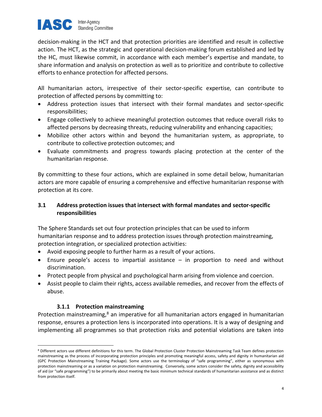

decision-making in the HCT and that protection priorities are identified and result in collective action. The HCT, as the strategic and operational decision-making forum established and led by the HC, must likewise commit, in accordance with each member's expertise and mandate, to share information and analysis on protection as well as to prioritize and contribute to collective efforts to enhance protection for affected persons.

All humanitarian actors, irrespective of their sector-specific expertise, can contribute to protection of affected persons by committing to:

- Address protection issues that intersect with their formal mandates and sector-specific responsibilities;
- Engage collectively to achieve meaningful protection outcomes that reduce overall risks to affected persons by decreasing threats, reducing vulnerability and enhancing capacities;
- Mobilize other actors within and beyond the humanitarian system, as appropriate, to contribute to collective protection outcomes; and
- Evaluate commitments and progress towards placing protection at the center of the humanitarian response.

By committing to these four actions, which are explained in some detail below, humanitarian actors are more capable of ensuring a comprehensive and effective humanitarian response with protection at its core.

## 3.1 Address protection issues that intersect with formal mandates and sector-specific responsibilities

The Sphere Standards set out four protection principles that can be used to inform humanitarian response and to address protection issues through protection mainstreaming, protection integration, or specialized protection activities:

- Avoid exposing people to further harm as a result of your actions.
- Ensure people's access to impartial assistance in proportion to need and without discrimination.
- Protect people from physical and psychological harm arising from violence and coercion.
- Assist people to claim their rights, access available remedies, and recover from the effects of abuse.

## 3.1.1 Protection mainstreaming

Protection mainstreaming,<sup>8</sup> an imperative for all humanitarian actors engaged in humanitarian response, ensures a protection lens is incorporated into operations. It is a way of designing and implementing all programmes so that protection risks and potential violations are taken into

<sup>&</sup>lt;sup>8</sup> Different actors use different definitions for this term. The Global Protection Cluster Protection Mainstreaming Task Team defines protection mainstreaming as the process of incorporating protection principles and promoting meaningful access, safety and dignity in humanitarian aid (GPC Protection Mainstreaming Training Package). Some actors use the terminology of "safe programming", either as synonymous with protection mainstreaming or as a variation on protection mainstreaming. Conversely, some actors consider the safety, dignity and accessibility of aid (or "safe programming") to be primarily about meeting the basic minimum technical standards of humanitarian assistance and as distinct from protection itself.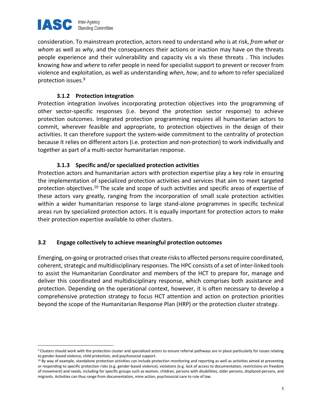

consideration. To mainstream protection, actors need to understand who is at risk, from what or whom as well as why, and the consequences their actions or inaction may have on the threats people experience and their vulnerability and capacity vis a vis these threats . This includes knowing how and where to refer people in need for specialist support to prevent or recover from violence and exploitation, as well as understanding when, how, and to whom to refer specialized protection issues.<sup>9</sup>

## 3.1.2 Protection integration

Protection integration involves incorporating protection objectives into the programming of other sector-specific responses (i.e. beyond the protection sector response) to achieve protection outcomes. Integrated protection programming requires all humanitarian actors to commit, wherever feasible and appropriate, to protection objectives in the design of their activities. It can therefore support the system-wide commitment to the centrality of protection because it relies on different actors (i.e. protection and non-protection) to work individually and together as part of a multi-sector humanitarian response.

## 3.1.3 Specific and/or specialized protection activities

Protection actors and humanitarian actors with protection expertise play a key role in ensuring the implementation of specialized protection activities and services that aim to meet targeted protection objectives.<sup>10</sup> The scale and scope of such activities and specific areas of expertise of these actors vary greatly, ranging from the incorporation of small scale protection activities within a wider humanitarian response to large stand-alone programmes in specific technical areas run by specialized protection actors. It is equally important for protection actors to make their protection expertise available to other clusters.

## 3.2 Engage collectively to achieve meaningful protection outcomes

Emerging, on-going or protracted crises that create risks to affected persons require coordinated, coherent, strategic and multidisciplinary responses. The HPC consists of a set of inter-linked tools to assist the Humanitarian Coordinator and members of the HCT to prepare for, manage and deliver this coordinated and multidisciplinary response, which comprises both assistance and protection. Depending on the operational context, however, it is often necessary to develop a comprehensive protection strategy to focus HCT attention and action on protection priorities beyond the scope of the Humanitarian Response Plan (HRP) or the protection cluster strategy.

 $9$  Clusters should work with the protection cluster and specialized actors to ensure referral pathways are in place particularly for issues relating to gender-based violence, child protection, and psychosocial support.

<sup>&</sup>lt;sup>10</sup> By way of example, standalone protection activities can include protection monitoring and reporting as well as activities aimed at preventing or responding to specific protection risks (e.g. gender-based violence), violations (e.g. lack of access to documentation, restrictions on freedom of movement) and needs, including for specific groups such as women, children, persons with disabilities, older persons, displaced persons, and migrants. Activities can thus range from documentation, mine action, psychosocial care to rule of law.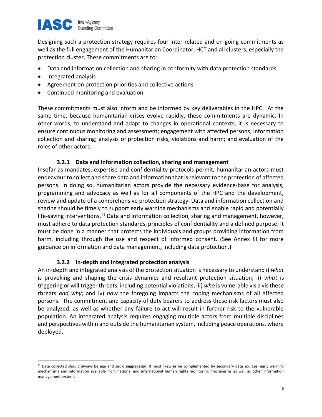

Designing such a protection strategy requires four inter-related and on-going commitments as well as the full engagement of the Humanitarian Coordinator, HCT and all clusters, especially the protection cluster. These commitments are to:

- Data and information collection and sharing in conformity with data protection standards
- Integrated analysis

 $\overline{a}$ 

- Agreement on protection priorities and collective actions
- Continued monitoring and evaluation

These commitments must also inform and be informed by key deliverables in the HPC. At the same time, because humanitarian crises evolve rapidly, these commitments are dynamic. In other words, to understand and adapt to changes in operational contexts, it is necessary to ensure continuous monitoring and assessment; engagement with affected persons; information collection and sharing; analysis of protection risks, violations and harm; and evaluation of the roles of other actors.

## 3.2.1 Data and information collection, sharing and management

Insofar as mandates, expertise and confidentiality protocols permit, humanitarian actors must endeavour to collect and share data and information that is relevant to the protection of affected persons. In doing so, humanitarian actors provide the necessary evidence-base for analysis, programming and advocacy as well as for all components of the HPC and the development, review and update of a comprehensive protection strategy. Data and information collection and sharing should be timely to support early warning mechanisms and enable rapid and potentially life-saving interventions.<sup>11</sup> Data and information collection, sharing and management, however, must adhere to data protection standards, principles of confidentiality and a defined purpose. It must be done in a manner that protects the individuals and groups providing information from harm, including through the use and respect of informed consent. (See Annex III for more guidance on information and data management, including data protection.)

## 3.2.2 In-depth and integrated protection analysis

An in-depth and integrated analysis of the protection situation is necessary to understand i) what is provoking and shaping the crisis dynamics and resultant protection situation; ii) what is triggering or will trigger threats, including potential violations; iii) who is vulnerable vis a vis these threats and why; and iv) how the foregoing impacts the coping mechanisms of all affected persons. The commitment and capacity of duty bearers to address these risk factors must also be analyzed, as well as whether any failure to act will result in further risk to the vulnerable population. An integrated analysis requires engaging multiple actors from multiple disciplines and perspectives within and outside the humanitarian system, including peace operations, where deployed.

<sup>&</sup>lt;sup>11</sup> Data collected should always be age and sex disaggregated. It must likewise be complemented by secondary data sources, early warning mechanisms and information available from national and international human rights monitoring mechanisms as well as other information management systems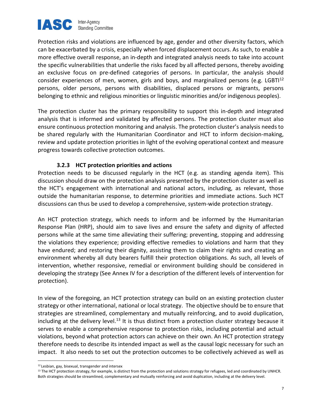

Protection risks and violations are influenced by age, gender and other diversity factors, which can be exacerbated by a crisis, especially when forced displacement occurs. As such, to enable a more effective overall response, an in-depth and integrated analysis needs to take into account the specific vulnerabilities that underlie the risks faced by all affected persons, thereby avoiding an exclusive focus on pre-defined categories of persons. In particular, the analysis should consider experiences of men, women, girls and boys, and marginalized persons (e.g. LGBT $1^{12}$ ) persons, older persons, persons with disabilities, displaced persons or migrants, persons belonging to ethnic and religious minorities or linguistic minorities and/or indigenous peoples).

The protection cluster has the primary responsibility to support this in-depth and integrated analysis that is informed and validated by affected persons. The protection cluster must also ensure continuous protection monitoring and analysis. The protection cluster's analysis needs to be shared regularly with the Humanitarian Coordinator and HCT to inform decision-making, review and update protection priorities in light of the evolving operational context and measure progress towards collective protection outcomes.

## 3.2.3 HCT protection priorities and actions

Protection needs to be discussed regularly in the HCT (e.g. as standing agenda item). This discussion should draw on the protection analysis presented by the protection cluster as well as the HCT's engagement with international and national actors, including, as relevant, those outside the humanitarian response, to determine priorities and immediate actions. Such HCT discussions can thus be used to develop a comprehensive, system-wide protection strategy.

An HCT protection strategy, which needs to inform and be informed by the Humanitarian Response Plan (HRP), should aim to save lives and ensure the safety and dignity of affected persons while at the same time alleviating their suffering; preventing, stopping and addressing the violations they experience; providing effective remedies to violations and harm that they have endured; and restoring their dignity, assisting them to claim their rights and creating an environment whereby all duty bearers fulfill their protection obligations. As such, all levels of intervention, whether responsive, remedial or environment building should be considered in developing the strategy (See Annex IV for a description of the different levels of intervention for protection).

In view of the foregoing, an HCT protection strategy can build on an existing protection cluster strategy or other international, national or local strategy. The objective should be to ensure that strategies are streamlined, complementary and mutually reinforcing, and to avoid duplication, including at the delivery level.<sup>13</sup> It is thus distinct from a protection cluster strategy because it serves to enable a comprehensive response to protection risks, including potential and actual violations, beyond what protection actors can achieve on their own. An HCT protection strategy therefore needs to describe its intended impact as well as the causal logic necessary for such an impact. It also needs to set out the protection outcomes to be collectively achieved as well as

 $\overline{a}$ 

<sup>&</sup>lt;sup>12</sup> Lesbian, gay, bisexual, transgender and intersex

<sup>&</sup>lt;sup>13</sup> The HCT protection strategy, for example, is distinct from the protection and solutions strategy for refugees, led and coordinated by UNHCR. Both strategies should be streamlined, complementary and mutually reinforcing and avoid duplication, including at the delivery level.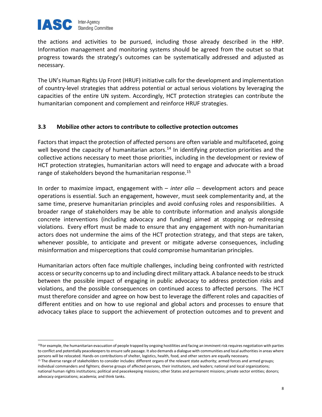

the actions and activities to be pursued, including those already described in the HRP. Information management and monitoring systems should be agreed from the outset so that progress towards the strategy's outcomes can be systematically addressed and adjusted as necessary.

The UN's Human Rights Up Front (HRUF) initiative calls for the development and implementation of country-level strategies that address potential or actual serious violations by leveraging the capacities of the entire UN system. Accordingly, HCT protection strategies can contribute the humanitarian component and complement and reinforce HRUF strategies.

## 3.3 Mobilize other actors to contribute to collective protection outcomes

Factors that impact the protection of affected persons are often variable and multifaceted, going well beyond the capacity of humanitarian actors.<sup>14</sup> In identifying protection priorities and the collective actions necessary to meet those priorities, including in the development or review of HCT protection strategies, humanitarian actors will need to engage and advocate with a broad range of stakeholders beyond the humanitarian response.<sup>15</sup>

In order to maximize impact, engagement with  $-$  inter alia  $-$  development actors and peace operations is essential. Such an engagement, however, must seek complementarity and, at the same time, preserve humanitarian principles and avoid confusing roles and responsibilities. A broader range of stakeholders may be able to contribute information and analysis alongside concrete interventions (including advocacy and funding) aimed at stopping or redressing violations. Every effort must be made to ensure that any engagement with non-humanitarian actors does not undermine the aims of the HCT protection strategy, and that steps are taken, whenever possible, to anticipate and prevent or mitigate adverse consequences, including misinformation and misperceptions that could compromise humanitarian principles.

Humanitarian actors often face multiple challenges, including being confronted with restricted access or security concerns up to and including direct military attack. A balance needs to be struck between the possible impact of engaging in public advocacy to address protection risks and violations, and the possible consequences on continued access to affected persons. The HCT must therefore consider and agree on how best to leverage the different roles and capacities of different entities and on how to use regional and global actors and processes to ensure that advocacy takes place to support the achievement of protection outcomes and to prevent and

<sup>&</sup>lt;sup>14</sup>For example, the humanitarian evacuation of people trapped by ongoing hostilities and facing an imminent risk requires negotiation with parties to conflict and potentially peacekeepers to ensure safe passage. It also demands a dialogue with communities and local authorities in areas where persons will be relocated. Hands-on contributions of shelter, logistics, health, food, and other sectors are equally necessary.

<sup>&</sup>lt;sup>15</sup> The diverse range of stakeholders to consider includes: different organs of the relevant state authority; armed forces and armed groups; individual commanders and fighters; diverse groups of affected persons, their institutions, and leaders; national and local organizations; national human rights institutions; political and peacekeeping missions; other States and permanent missions; private sector entities; donors; advocacy organizations; academia; and think tanks.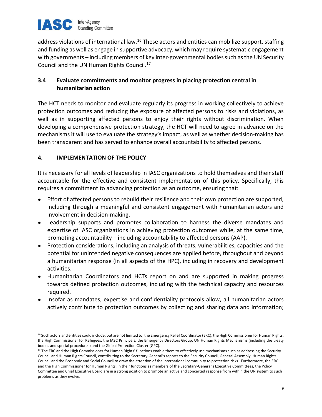

address violations of international law.<sup>16</sup> These actors and entities can mobilize support, staffing and funding as well as engage in supportive advocacy, which may require systematic engagement with governments – including members of key inter-governmental bodies such as the UN Security Council and the UN Human Rights Council.<sup>17</sup>

## 3.4 Evaluate commitments and monitor progress in placing protection central in humanitarian action

The HCT needs to monitor and evaluate regularly its progress in working collectively to achieve protection outcomes and reducing the exposure of affected persons to risks and violations, as well as in supporting affected persons to enjoy their rights without discrimination. When developing a comprehensive protection strategy, the HCT will need to agree in advance on the mechanisms it will use to evaluate the strategy's impact, as well as whether decision-making has been transparent and has served to enhance overall accountability to affected persons.

## 4. IMPLEMENTATION OF THE POLICY

It is necessary for all levels of leadership in IASC organizations to hold themselves and their staff accountable for the effective and consistent implementation of this policy. Specifically, this requires a commitment to advancing protection as an outcome, ensuring that:

- Effort of affected persons to rebuild their resilience and their own protection are supported, including through a meaningful and consistent engagement with humanitarian actors and involvement in decision-making.
- Leadership supports and promotes collaboration to harness the diverse mandates and expertise of IASC organizations in achieving protection outcomes while, at the same time, promoting accountability – including accountability to affected persons (AAP).
- Protection considerations, including an analysis of threats, vulnerabilities, capacities and the potential for unintended negative consequences are applied before, throughout and beyond a humanitarian response (in all aspects of the HPC), including in recovery and development activities.
- Humanitarian Coordinators and HCTs report on and are supported in making progress towards defined protection outcomes, including with the technical capacity and resources required.
- Insofar as mandates, expertise and confidentiality protocols allow, all humanitarian actors actively contribute to protection outcomes by collecting and sharing data and information;

<sup>&</sup>lt;sup>16</sup> Such actors and entities could include, but are not limited to, the Emergency Relief Coordinator (ERC), the High Commissioner for Human Rights, the High Commissioner for Refugees, the IASC Principals, the Emergency Directors Group, UN Human Rights Mechanisms (including the treaty bodies and special procedures) and the Global Protection Cluster (GPC).

<sup>&</sup>lt;sup>17</sup> The ERC and the High Commissioner for Human Rights' functions enable them to effectively use mechanisms such as addressing the Security Council and Human Rights Council, contributing to the Secretary-General's reports to the Security Council, General Assembly, Human Rights Council and the Economic and Social Council to draw the attention of the international community to protection risks. Furthermore, the ERC and the High Commissioner for Human Rights, in their functions as members of the Secretary-General's Executive Committees, the Policy Committee and Chief Executive Board are in a strong position to promote an active and concerted response from within the UN system to such problems as they evolve.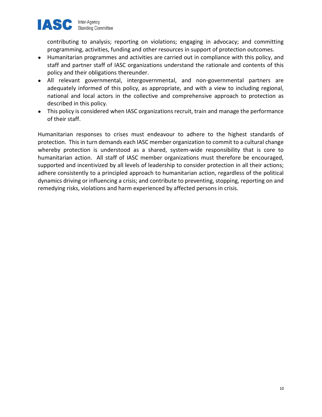

contributing to analysis; reporting on violations; engaging in advocacy; and committing programming, activities, funding and other resources in support of protection outcomes.

- Humanitarian programmes and activities are carried out in compliance with this policy, and staff and partner staff of IASC organizations understand the rationale and contents of this policy and their obligations thereunder.
- All relevant governmental, intergovernmental, and non-governmental partners are adequately informed of this policy, as appropriate, and with a view to including regional, national and local actors in the collective and comprehensive approach to protection as described in this policy.
- This policy is considered when IASC organizations recruit, train and manage the performance of their staff.

Humanitarian responses to crises must endeavour to adhere to the highest standards of protection. This in turn demands each IASC member organization to commit to a cultural change whereby protection is understood as a shared, system-wide responsibility that is core to humanitarian action. All staff of IASC member organizations must therefore be encouraged, supported and incentivized by all levels of leadership to consider protection in all their actions; adhere consistently to a principled approach to humanitarian action, regardless of the political dynamics driving or influencing a crisis; and contribute to preventing, stopping, reporting on and remedying risks, violations and harm experienced by affected persons in crisis.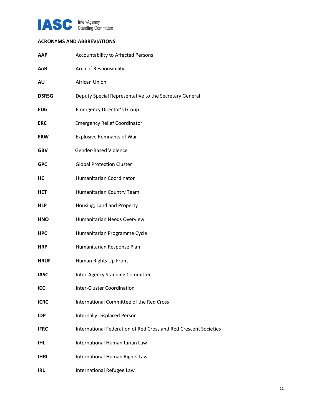

## ACRONYMS AND ABBREVIATIONS

| AAP          | Accountability to Affected Persons                               |
|--------------|------------------------------------------------------------------|
| <b>AoR</b>   | Area of Responsibility                                           |
| AU           | African Union                                                    |
| <b>DSRSG</b> | Deputy Special Representative to the Secretary General           |
| <b>EDG</b>   | <b>Emergency Director's Group</b>                                |
| <b>ERC</b>   | <b>Emergency Relief Coordinator</b>                              |
| <b>ERW</b>   | <b>Explosive Remnants of War</b>                                 |
| <b>GBV</b>   | Gender-Based Violence                                            |
| <b>GPC</b>   | <b>Global Protection Cluster</b>                                 |
| НC           | Humanitarian Coordinator                                         |
| <b>HCT</b>   | Humanitarian Country Team                                        |
| <b>HLP</b>   | Housing, Land and Property                                       |
| <b>HNO</b>   | Humanitarian Needs Overview                                      |
| <b>HPC</b>   | Humanitarian Programme Cycle                                     |
| <b>HRP</b>   | Humanitarian Response Plan                                       |
| <b>HRUF</b>  | Human Rights Up Front                                            |
| <b>IASC</b>  | Inter-Agency Standing Committee                                  |
| ICC          | <b>Inter-Cluster Coordination</b>                                |
| <b>ICRC</b>  | International Committee of the Red Cross                         |
| <b>IDP</b>   | Internally Displaced Person                                      |
| <b>IFRC</b>  | International Federation of Red Cross and Red Crescent Societies |
| <b>IHL</b>   | International Humanitarian Law                                   |
| <b>IHRL</b>  | International Human Rights Law                                   |
| <b>IRL</b>   | International Refugee Law                                        |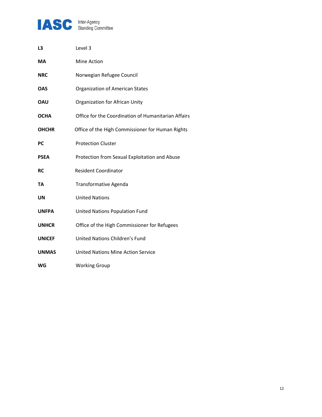

| L3            | Level 3                                             |
|---------------|-----------------------------------------------------|
| МA            | Mine Action                                         |
| <b>NRC</b>    | Norwegian Refugee Council                           |
| OAS           | <b>Organization of American States</b>              |
| OAU           | Organization for African Unity                      |
| <b>OCHA</b>   | Office for the Coordination of Humanitarian Affairs |
| <b>OHCHR</b>  | Office of the High Commissioner for Human Rights    |
| PC            | <b>Protection Cluster</b>                           |
| <b>PSEA</b>   | Protection from Sexual Exploitation and Abuse       |
| RC            | <b>Resident Coordinator</b>                         |
| TA            | <b>Transformative Agenda</b>                        |
| UN            | <b>United Nations</b>                               |
| <b>UNFPA</b>  | United Nations Population Fund                      |
| <b>UNHCR</b>  | Office of the High Commissioner for Refugees        |
| <b>UNICEF</b> | United Nations Children's Fund                      |
| <b>UNMAS</b>  | United Nations Mine Action Service                  |
| WG            | <b>Working Group</b>                                |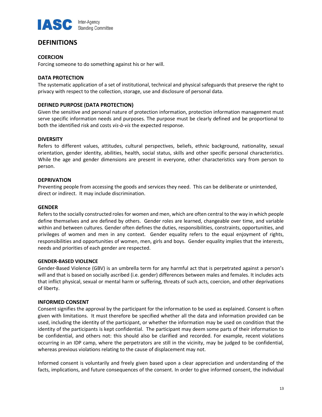

## **DEFINITIONS**

## **COERCION**

Forcing someone to do something against his or her will.

## DATA PROTECTION

The systematic application of a set of institutional, technical and physical safeguards that preserve the right to privacy with respect to the collection, storage, use and disclosure of personal data.

## DEFINED PURPOSE (DATA PROTECTION)

Given the sensitive and personal nature of protection information, protection information management must serve specific information needs and purposes. The purpose must be clearly defined and be proportional to both the identified risk and costs vis-à-vis the expected response.

## **DIVERSITY**

Refers to different values, attitudes, cultural perspectives, beliefs, ethnic background, nationality, sexual orientation, gender identity, abilities, health, social status, skills and other specific personal characteristics. While the age and gender dimensions are present in everyone, other characteristics vary from person to person.

## DEPRIVATION

Preventing people from accessing the goods and services they need. This can be deliberate or unintended, direct or indirect. It may include discrimination.

## **GENDER**

Refers to the socially constructed roles for women and men, which are often central to the way in which people define themselves and are defined by others. Gender roles are learned, changeable over time, and variable within and between cultures. Gender often defines the duties, responsibilities, constraints, opportunities, and privileges of women and men in any context. Gender equality refers to the equal enjoyment of rights, responsibilities and opportunities of women, men, girls and boys. Gender equality implies that the interests, needs and priorities of each gender are respected.

## GENDER-BASED VIOLENCE

Gender-Based Violence (GBV) is an umbrella term for any harmful act that is perpetrated against a person's will and that is based on socially ascribed (i.e. gender) differences between males and females. It includes acts that inflict physical, sexual or mental harm or suffering, threats of such acts, coercion, and other deprivations of liberty.

## INFORMED CONSENT

Consent signifies the approval by the participant for the information to be used as explained. Consent is often given with limitations. It must therefore be specified whether all the data and information provided can be used, including the identity of the participant, or whether the information may be used on condition that the identity of the participants is kept confidential. The participant may deem some parts of their information to be confidential, and others not: this should also be clarified and recorded. For example, recent violations occurring in an IDP camp, where the perpetrators are still in the vicinity, may be judged to be confidential, whereas previous violations relating to the cause of displacement may not.

Informed consent is voluntarily and freely given based upon a clear appreciation and understanding of the facts, implications, and future consequences of the consent. In order to give informed consent, the individual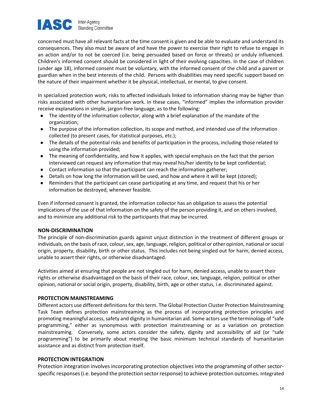

concerned must have all relevant facts at the time consent is given and be able to evaluate and understand its consequences. They also must be aware of and have the power to exercise their right to refuse to engage in an action and/or to not be coerced (i.e. being persuaded based on force or threats) or unduly influenced. Children's informed consent should be considered in light of their evolving capacities. In the case of children (under age 18), informed consent must be voluntary, with the informed consent of the child and a parent or guardian when in the best interests of the child. Persons with disabilities may need specific support based on the nature of their impairment whether it be physical, intellectual, or mental, to give consent.

In specialized protection work, risks to affected individuals linked to information sharing may be higher than risks associated with other humanitarian work. In these cases, "informed" implies the information provider receive explanations in simple, jargon-free language, as to the following:

- The identity of the information collector, along with a brief explanation of the mandate of the organization;
- The purpose of the information collection, its scope and method, and intended use of the information collected (to present cases, for statistical purposes, etc.);
- The details of the potential risks and benefits of participation in the process, including those related to using the information provided;
- The meaning of confidentiality, and how it applies, with special emphasis on the fact that the person interviewed can request any information that may reveal his/her identity to be kept confidential;
- Contact information so that the participant can reach the information gatherer;
- Details on how long the information will be used, and how and where it will be kept (stored);
- Reminders that the participant can cease participating at any time, and request that his or her information be destroyed, whenever feasible.

Even if informed consent is granted, the information collector has an obligation to assess the potential implications of the use of that information on the safety of the person providing it, and on others involved, and to minimize any additional risk to the participants that may be incurred.

## NON-DISCRIMINATION

The principle of non-discrimination guards against unjust distinction in the treatment of different groups or individuals, on the basis of race, colour, sex, age, language, religion, political or other opinion, national or social origin, property, disability, birth or other status. This includes not being singled out for harm, denied access, unable to assert their rights, or otherwise disadvantaged.

Activities aimed at ensuring that people are not singled out for harm, denied access, unable to assert their rights or otherwise disadvantaged on the basis of their race, colour, sex, language, religion, political or other opinion, national or social origin, property, disability, birth, age or other status, i.e. discriminated against.

## PROTECTION MAINSTREAMING

Different actors use different definitions for this term. The Global Protection Cluster Protection Mainstreaming Task Team defines protection mainstreaming as the process of incorporating protection principles and promoting meaningful access, safety and dignity in humanitarian aid. Some actors use the terminology of "safe programming," either as synonymous with protection mainstreaming or as a variation on protection mainstreaming. Conversely, some actors consider the safety, dignity and accessibility of aid (or "safe programming") to be primarily about meeting the basic minimum technical standards of humanitarian assistance and as distinct from protection itself.

## PROTECTION INTEGRATION

Protection integration involves incorporating protection objectives into the programming of other sectorspecific responses (i.e. beyond the protection sector response) to achieve protection outcomes. Integrated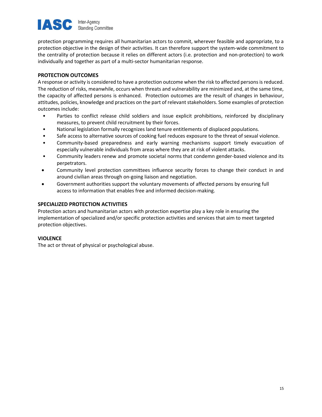

protection programming requires all humanitarian actors to commit, wherever feasible and appropriate, to a protection objective in the design of their activities. It can therefore support the system-wide commitment to the centrality of protection because it relies on different actors (i.e. protection and non-protection) to work individually and together as part of a multi-sector humanitarian response.

## PROTECTION OUTCOMES

A response or activity is considered to have a protection outcome when the risk to affected persons is reduced. The reduction of risks, meanwhile, occurs when threats and vulnerability are minimized and, at the same time, the capacity of affected persons is enhanced. Protection outcomes are the result of changes in behaviour, attitudes, policies, knowledge and practices on the part of relevant stakeholders. Some examples of protection outcomes include:

- Parties to conflict release child soldiers and issue explicit prohibitions, reinforced by disciplinary measures, to prevent child recruitment by their forces.
- National legislation formally recognizes land tenure entitlements of displaced populations.
- Safe access to alternative sources of cooking fuel reduces exposure to the threat of sexual violence.
- Community-based preparedness and early warning mechanisms support timely evacuation of especially vulnerable individuals from areas where they are at risk of violent attacks.
- Community leaders renew and promote societal norms that condemn gender-based violence and its perpetrators.
- Community level protection committees influence security forces to change their conduct in and around civilian areas through on-going liaison and negotiation.
- Government authorities support the voluntary movements of affected persons by ensuring full access to information that enables free and informed decision-making.

## SPECIALIZED PROTECTION ACTIVITIES

Protection actors and humanitarian actors with protection expertise play a key role in ensuring the implementation of specialized and/or specific protection activities and services that aim to meet targeted protection objectives.

## **VIOLENCE**

The act or threat of physical or psychological abuse.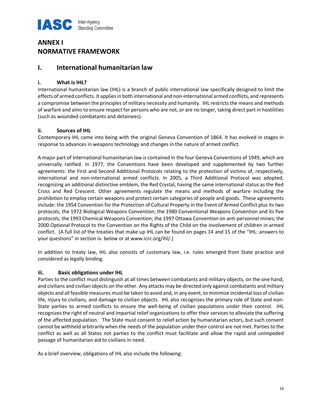

# ANNEX I NORMATIVE FRAMEWORK

## I. International humanitarian law

## i. What is IHL?

International humanitarian law (IHL) is a branch of public international law specifically designed to limit the effects of armed conflicts. It applies in both international and non-international armed conflicts, and represents a compromise between the principles of military necessity and humanity. IHL restricts the means and methods of warfare and aims to ensure respect for persons who are not, or are no longer, taking direct part in hostilities (such as wounded combatants and detainees).

## ii. Sources of IHL

Contemporary IHL came into being with the original Geneva Convention of 1864. It has evolved in stages in response to advances in weapons technology and changes in the nature of armed conflict.

A major part of international humanitarian law is contained in the four Geneva Conventions of 1949, which are universally ratified. In 1977, the Conventions have been developed and supplemented by two further agreements: the First and Second Additional Protocols relating to the protection of victims of, respectively, international and non-international armed conflicts. In 2005, a Third Additional Protocol was adopted, recognizing an additional distinctive emblem, the Red Crystal, having the same international status as the Red Cross and Red Crescent. Other agreements regulate the means and methods of warfare including the prohibition to employ certain weapons and protect certain categories of people and goods. These agreements include: the 1954 Convention for the Protection of Cultural Property in the Event of Armed Conflict plus its two protocols; the 1972 Biological Weapons Convention; the 1980 Conventional Weapons Convention and its five protocols; the 1993 Chemical Weapons Convention; the 1997 Ottawa Convention on anti-personnel mines; the 2000 Optional Protocol to the Convention on the Rights of the Child on the involvement of children in armed conflict. (A full list of the treaties that make up IHL can be found on pages 14 and 15 of the "IHL: answers to your questions" in section iv. below or at www.icrc.org/ihl/.)

In addition to treaty law, IHL also consists of customary law, i.e. rules emerged from State practice and considered as legally binding.

## iii. Basic obligations under IHL

Parties to the conflict must distinguish at all times between combatants and military objects, on the one hand, and civilians and civilian objects on the other. Any attacks may be directed only against combatants and military objects and all feasible measures must be taken to avoid and, in any event, to minimize incidental loss of civilian life, injury to civilians, and damage to civilian objects. IHL also recognizes the primary role of State and non-State parties to armed conflicts to ensure the well-being of civilian populations under their control. IHL recognizes the right of neutral and impartial relief organizations to offer their services to alleviate the suffering of the affected population. The State must consent to relief action by humanitarian actors, but such consent cannot be withheld arbitrarily when the needs of the population under their control are not met. Parties to the conflict as well as all States not parties to the conflict must facilitate and allow the rapid and unimpeded passage of humanitarian aid to civilians in need.

As a brief overview, obligations of IHL also include the following: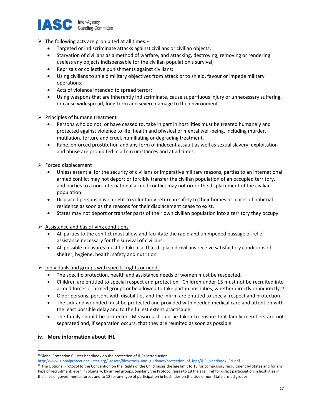

## $\triangleright$  The following acts are prohibited at all times:<sup>18</sup>

- Targeted or indiscriminate attacks against civilians or civilian objects;
- Starvation of civilians as a method of warfare, and attacking, destroying, removing or rendering useless any objects indispensable for the civilian population's survival;
- Reprisals or collective punishments against civilians;
- Using civilians to shield military objectives from attack or to shield, favour or impede military operations;
- Acts of violence intended to spread terror;
- Using weapons that are inherently indiscriminate, cause superfluous injury or unnecessary suffering, or cause widespread, long-term and severe damage to the environment.

## $\triangleright$  Principles of humane treatment

- Persons who do not, or have ceased to, take in part in hostilities must be treated humanely and protected against violence to life, health and physical or mental well-being, including murder, mutilation, torture and cruel, humiliating or degrading treatment.
- Rape, enforced prostitution and any form of indecent assault as well as sexual slavery, exploitation and abuse are prohibited in all circumstances and at all times.
- $\triangleright$  Forced displacement
	- Unless essential for the security of civilians or imperative military reasons, parties to an international armed conflict may not deport or forcibly transfer the civilian population of an occupied territory, and parties to a non-international armed conflict may not order the displacement of the civilian population.
	- Displaced persons have a right to voluntarily return in safety to their homes or places of habitual residence as soon as the reasons for their displacement cease to exist.
	- States may not deport or transfer parts of their own civilian population into a territory they occupy.

## $\triangleright$  Assistance and basic living conditions

- All parties to the conflict must allow and facilitate the rapid and unimpeded passage of relief assistance necessary for the survival of civilians.
- All possible measures must be taken so that displaced civilians receive satisfactory conditions of shelter, hygiene, health, safety and nutrition.

## $\triangleright$  Individuals and groups with specific rights or needs

- The specific protection, health and assistance needs of women must be respected.
- Children are entitled to special respect and protection. Children under 15 must not be recruited into armed forces or armed groups or be allowed to take part in hostilities, whether directly or indirectly.<sup>19</sup>
- Older persons, persons with disabilities and the infirm are entitled to special respect and protection.
- The sick and wounded must be protected and provided with needed medical care and attention with the least possible delay and to the fullest extent practicable.
- The family should be protected. Measures should be taken to ensure that family members are not separated and, if separation occurs, that they are reunited as soon as possible.

## iv. More information about IHL

<sup>&</sup>lt;sup>18</sup>Global Protection Cluster handbook on the protection of IDPs Introduction

http://www.globalprotectioncluster.org/\_assets/files/tools\_and\_guidance/protection\_of\_idps/IDP\_Handbook\_EN.pdf

<sup>&</sup>lt;sup>19</sup> The Optional Protocol to the Convention on the Rights of the Child raises the age limit to 18 for compulsory recruitment by States and for any type of recruitment, even if voluntary, by armed groups. Similarly the Protocol raises to 18 the age limit for direct participation in hostilities in the lines of governmental forces and to 18 for any type of participation in hostilities on the side of non-State armed groups.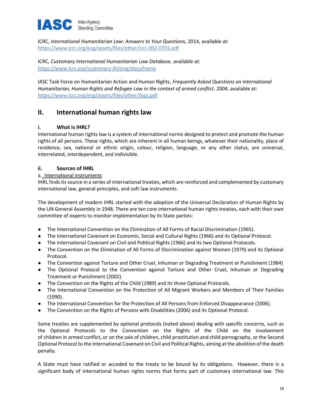

ICRC, International Humanitarian Law: Answers to Your Questions, 2014, available at: https://www.icrc.org/eng/assets/files/other/icrc-002-0703.pdf

ICRC, Customary International Humanitarian Law Database, available at: https://www.icrc.org/customary-ihl/eng/docs/home

IASC Task Force on Humanitarian Action and Human Rights, Frequently Asked Questions on International Humanitarian, Human Rights and Refugee Law in the context of armed conflict, 2004, available at: https://www.icrc.org/eng/assets/files/other/faqs.pdf

## II. International human rights law

## i. What is IHRL?

International human rights law is a system of international norms designed to protect and promote the human rights of all persons. These rights, which are inherent in all human beings, whatever their nationality, place of residence, sex, national or ethnic origin, colour, religion, language, or any other status, are universal, interrelated, interdependent, and indivisible.

## ii. Sources of IHRL

## a. International instruments

IHRL finds its source in a series of international treaties, which are reinforced and complemented by customary international law, general principles, and soft law instruments.

The development of modern IHRL started with the adoption of the Universal Declaration of Human Rights by the UN General Assembly in 1948. There are ten core international human rights treaties, each with their own committee of experts to monitor implementation by its State parties:

- The International Convention on the Elimination of All Forms of Racial Discrimination (1965).
- The International Covenant on Economic, Social and Cultural Rights (1966) and its Optional Protocol.
- The International Covenant on Civil and Political Rights (1966) and its two Optional Protocols.
- The Convention on the Elimination of All Forms of Discrimination against Women (1979) and its Optional Protocol.
- The Convention against Torture and Other Cruel, Inhuman or Degrading Treatment or Punishment (1984)
- The Optional Protocol to the Convention against Torture and Other Cruel, Inhuman or Degrading Treatment or Punishment (2002).
- The Convention on the Rights of the Child (1989) and its three Optional Protocols.
- The International Convention on the Protection of All Migrant Workers and Members of Their Families (1990).
- The International Convention for the Protection of All Persons from Enforced Disappearance (2006).
- The Convention on the Rights of Persons with Disabilities (2006) and its Optional Protocol.

Some treaties are supplemented by optional protocols (noted above) dealing with specific concerns, such as the Optional Protocols to the Convention on the Rights of the Child on the involvement of children in armed conflict, or on the sale of children, child prostitution and child pornography, or the Second Optional Protocol to the International Covenant on Civil and Political Rights, aiming at the abolition of the death penalty.

A State must have ratified or acceded to the treaty to be bound by its obligations. However, there is a significant body of international human rights norms that forms part of customary international law. This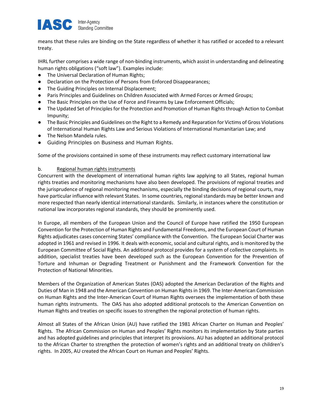

means that these rules are binding on the State regardless of whether it has ratified or acceded to a relevant treaty.

IHRL further comprises a wide range of non-binding instruments, which assist in understanding and delineating human rights obligations ("soft law"). Examples include:

- The Universal Declaration of Human Rights;
- Declaration on the Protection of Persons from Enforced Disappearances;
- The Guiding Principles on Internal Displacement;
- Paris Principles and Guidelines on Children Associated with Armed Forces or Armed Groups;
- The Basic Principles on the Use of Force and Firearms by Law Enforcement Officials;
- The Updated Set of Principles for the Protection and Promotion of Human Rights through Action to Combat Impunity;
- The Basic Principles and Guidelines on the Right to a Remedy and Reparation for Victims of Gross Violations of International Human Rights Law and Serious Violations of International Humanitarian Law; and
- The Nelson Mandela rules.
- Guiding Principles on Business and Human Rights.

Some of the provisions contained in some of these instruments may reflect customary international law

## b. Regional human rights instruments

Concurrent with the development of international human rights law applying to all States, regional human rights treaties and monitoring mechanisms have also been developed. The provisions of regional treaties and the jurisprudence of regional monitoring mechanisms, especially the binding decisions of regional courts, may have particular influence with relevant States. In some countries, regional standards may be better known and more respected than nearly identical international standards. Similarly, in instances where the constitution or national law incorporates regional standards, they should be prominently used.

In Europe, all members of the European Union and the Council of Europe have ratified the 1950 European Convention for the Protection of Human Rights and Fundamental Freedoms, and the European Court of Human Rights adjudicates cases concerning States' compliance with the Convention. The European Social Charter was adopted in 1961 and revised in 1996. It deals with economic, social and cultural rights, and is monitored by the European Committee of Social Rights. An additional protocol provides for a system of collective complaints. In addition, specialist treaties have been developed such as the European Convention for the Prevention of Torture and Inhuman or Degrading Treatment or Punishment and the Framework Convention for the Protection of National Minorities.

Members of the Organization of American States (OAS) adopted the American Declaration of the Rights and Duties of Man in 1948 and the American Convention on Human Rights in 1969. The Inter-American Commission on Human Rights and the Inter-American Court of Human Rights oversees the implementation of both these human rights instruments. The OAS has also adopted additional protocols to the American Convention on Human Rights and treaties on specific issues to strengthen the regional protection of human rights.

Almost all States of the African Union (AU) have ratified the 1981 African Charter on Human and Peoples' Rights. The African Commission on Human and Peoples' Rights monitors its implementation by State parties and has adopted guidelines and principles that interpret its provisions. AU has adopted an additional protocol to the African Charter to strengthen the protection of women's rights and an additional treaty on children's rights. In 2005, AU created the African Court on Human and Peoples' Rights.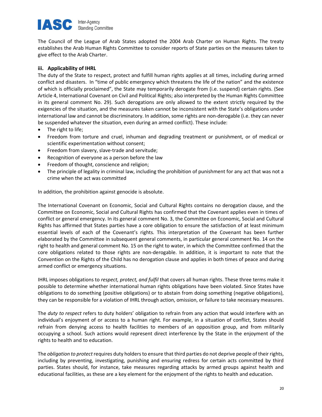#### **IAS** Inter-Agency **Standing Committee**

The Council of the League of Arab States adopted the 2004 Arab Charter on Human Rights. The treaty establishes the Arab Human Rights Committee to consider reports of State parties on the measures taken to give effect to the Arab Charter.

## iii. Applicability of IHRL

The duty of the State to respect, protect and fulfill human rights applies at all times, including during armed conflict and disasters. In "time of public emergency which threatens the life of the nation" and the existence of which is officially proclaimed", the State may temporarily derogate from (i.e. suspend) certain rights. (See Article 4, International Covenant on Civil and Political Rights; also interpreted by the Human Rights Committee in its general comment No. 29). Such derogations are only allowed to the extent strictly required by the exigencies of the situation, and the measures taken cannot be inconsistent with the State's obligations under international law and cannot be discriminatory. In addition, some rights are non-derogable (i.e. they can never be suspended whatever the situation, even during an armed conflict). These include:

- The right to life;
- Freedom from torture and cruel, inhuman and degrading treatment or punishment, or of medical or scientific experimentation without consent;
- Freedom from slavery, slave-trade and servitude;
- Recognition of everyone as a person before the law
- Freedom of thought, conscience and religion;
- The principle of legality in criminal law, including the prohibition of punishment for any act that was not a crime when the act was committed

In addition, the prohibition against genocide is absolute.

The International Covenant on Economic, Social and Cultural Rights contains no derogation clause, and the Committee on Economic, Social and Cultural Rights has confirmed that the Covenant applies even in times of conflict or general emergency. In its general comment No. 3, the Committee on Economic, Social and Cultural Rights has affirmed that States parties have a core obligation to ensure the satisfaction of at least minimum essential levels of each of the Covenant's rights. This interpretation of the Covenant has been further elaborated by the Committee in subsequent general comments, in particular general comment No. 14 on the right to health and general comment No. 15 on the right to water, in which the Committee confirmed that the core obligations related to those rights are non-derogable. In addition, it is important to note that the Convention on the Rights of the Child has no derogation clause and applies in both times of peace and during armed conflict or emergency situations.

IHRL imposes obligations to respect, protect, and fulfil that covers all human rights. These three terms make it possible to determine whether international human rights obligations have been violated. Since States have obligations to do something (positive obligations) or to abstain from doing something (negative obligations), they can be responsible for a violation of IHRL through action, omission, or failure to take necessary measures.

The duty to respect refers to duty holders' obligation to refrain from any action that would interfere with an individual's enjoyment of or access to a human right. For example, in a situation of conflict, States should refrain from denying access to health facilities to members of an opposition group, and from militarily occupying a school. Such actions would represent direct interference by the State in the enjoyment of the rights to health and to education.

The *obligation to protect* requires duty holders to ensure that third parties do not deprive people of their rights, including by preventing, investigating, punishing and ensuring redress for certain acts committed by third parties. States should, for instance, take measures regarding attacks by armed groups against health and educational facilities, as these are a key element for the enjoyment of the rights to health and education.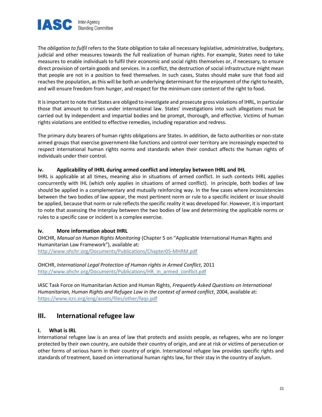

The *obligation to fulfil refers to the State obligation to take all necessary legislative, administrative, budgetary,* judicial and other measures towards the full realization of human rights. For example, States need to take measures to enable individuals to fulfil their economic and social rights themselves or, if necessary, to ensure direct provision of certain goods and services. In a conflict, the destruction of social infrastructure might mean that people are not in a position to feed themselves. In such cases, States should make sure that food aid reaches the population, as this will be both an underlying determinant for the enjoyment of the right to health, and will ensure freedom from hunger, and respect for the minimum core content of the right to food.

It is important to note that States are obliged to investigate and prosecute gross violations of IHRL, in particular those that amount to crimes under international law. States' investigations into such allegations must be carried out by independent and impartial bodies and be prompt, thorough, and effective. Victims of human rights violations are entitled to effective remedies, including reparation and redress.

The primary duty bearers of human rights obligations are States. In addition, de facto authorities or non-state armed groups that exercise government-like functions and control over territory are increasingly expected to respect international human rights norms and standards when their conduct affects the human rights of individuals under their control.

## iv. Applicability of IHRL during armed conflict and interplay between IHRL and IHL

IHRL is applicable at all times, meaning also in situations of armed conflict. In such contexts IHRL applies concurrently with IHL (which only applies in situations of armed conflict). In principle, both bodies of law should be applied in a complementary and mutually reinforcing way. In the few cases where inconsistencies between the two bodies of law appear, the most pertinent norm or rule to a specific incident or issue should be applied, because that norm or rule reflects the specific reality it was developed for. However, it is important to note that assessing the interplay between the two bodies of law and determining the applicable norms or rules to a specific case or incident is a complex exercise.

## iv. More information about IHRL

OHCHR, Manual on Human Rights Monitoring (Chapter 5 on "Applicable International Human Rights and Humanitarian Law Framework"), available at:

http://www.ohchr.org/Documents/Publications/Chapter05-MHRM.pdf

OHCHR, International Legal Protection of Human rights in Armed Conflict, 2011 http://www.ohchr.org/Documents/Publications/HR\_in\_armed\_conflict.pdf

IASC Task Force on Humanitarian Action and Human Rights, Frequently Asked Questions on International Humanitarian, Human Rights and Refugee Law in the context of armed conflict, 2004, available at: https://www.icrc.org/eng/assets/files/other/faqs.pdf

## III. International refugee law

## I. What is IRL

International refugee law is an area of law that protects and assists people, as refugees, who are no longer protected by their own country, are outside their country of origin, and are at risk or victims of persecution or other forms of serious harm in their country of origin. International refugee law provides specific rights and standards of treatment, based on international human rights law, for their stay in the country of asylum.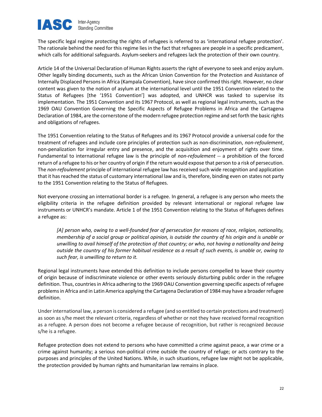

The specific legal regime protecting the rights of refugees is referred to as 'international refugee protection'. The rationale behind the need for this regime lies in the fact that refugees are people in a specific predicament, which calls for additional safeguards. Asylum-seekers and refugees lack the protection of their own country.

Article 14 of the Universal Declaration of Human Rights asserts the right of everyone to seek and enjoy asylum. Other legally binding documents, such as the African Union Convention for the Protection and Assistance of Internally Displaced Persons in Africa (Kampala Convention), have since confirmed this right. However, no clear content was given to the notion of asylum at the international level until the 1951 Convention related to the Status of Refugees [the '1951 Convention'] was adopted, and UNHCR was tasked to supervise its implementation. The 1951 Convention and its 1967 Protocol, as well as regional legal instruments, such as the 1969 OAU Convention Governing the Specific Aspects of Refugee Problems in Africa and the Cartagena Declaration of 1984, are the cornerstone of the modern refugee protection regime and set forth the basic rights and obligations of refugees.

The 1951 Convention relating to the Status of Refugees and its 1967 Protocol provide a universal code for the treatment of refugees and include core principles of protection such as non-discrimination, non-refoulement, non-penalization for irregular entry and presence, and the acquisition and enjoyment of rights over time. Fundamental to international refugee law is the principle of non-refoulement -- a prohibition of the forced return of a refugee to his or her country of origin if the return would expose that person to a risk of persecution. The non-refoulement principle of international refugee law has received such wide recognition and application that it has reached the status of customary international law and is, therefore, binding even on states not party to the 1951 Convention relating to the Status of Refugees.

Not everyone crossing an international border is a refugee. In general, a refugee is any person who meets the eligibility criteria in the refugee definition provided by relevant international or regional refugee law instruments or UNHCR's mandate. Article 1 of the 1951 Convention relating to the Status of Refugees defines a refugee as:

[A] person who, owing to a well-founded fear of persecution for reasons of race, religion, nationality, membership of a social group or political opinion, is outside the country of his origin and is unable or unwilling to avail himself of the protection of that country; or who, not having a nationality and being outside the country of his former habitual residence as a result of such events, is unable or, owing to such fear, is unwilling to return to it.

Regional legal instruments have extended this definition to include persons compelled to leave their country of origin because of indiscriminate violence or other events seriously disturbing public order in the refugee definition. Thus, countries in Africa adhering to the 1969 OAU Convention governing specific aspects of refugee problems in Africa and in Latin America applying the Cartagena Declaration of 1984 may have a broader refugee definition.

Under international law, a person is considered a refugee (and so entitled to certain protections and treatment) as soon as s/he meet the relevant criteria, regardless of whether or not they have received formal recognition as a refugee. A person does not become a refugee because of recognition, but rather is recognized because s/he is a refugee.

Refugee protection does not extend to persons who have committed a crime against peace, a war crime or a crime against humanity; a serious non-political crime outside the country of refuge; or acts contrary to the purposes and principles of the United Nations. While, in such situations, refugee law might not be applicable, the protection provided by human rights and humanitarian law remains in place.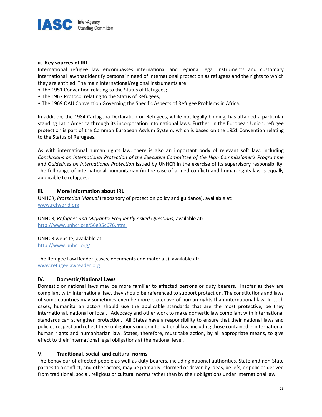

## ii. Key sources of IRL

International refugee law encompasses international and regional legal instruments and customary international law that identify persons in need of international protection as refugees and the rights to which they are entitled. The main international/regional instruments are:

- The 1951 Convention relating to the Status of Refugees;
- The 1967 Protocol relating to the Status of Refugees;
- The 1969 OAU Convention Governing the Specific Aspects of Refugee Problems in Africa.

In addition, the 1984 Cartagena Declaration on Refugees, while not legally binding, has attained a particular standing Latin America through its incorporation into national laws. Further, in the European Union, refugee protection is part of the Common European Asylum System, which is based on the 1951 Convention relating to the Status of Refugees.

As with international human rights law, there is also an important body of relevant soft law, including Conclusions on International Protection of the Executive Committee of the High Commissioner's Programme and Guidelines on International Protection issued by UNHCR in the exercise of its supervisory responsibility. The full range of international humanitarian (in the case of armed conflict) and human rights law is equally applicable to refugees.

## iii. More information about IRL

UNHCR, Protection Manual (repository of protection policy and guidance), available at: www.refworld.org

UNHCR, Refugees and Migrants: Frequently Asked Questions, available at: http://www.unhcr.org/56e95c676.html

UNHCR website, available at: http://www.unhcr.org/

The Refugee Law Reader (cases, documents and materials), available at: www.refugeelawreader.org

## IV. Domestic/National Laws

Domestic or national laws may be more familiar to affected persons or duty bearers. Insofar as they are compliant with international law, they should be referenced to support protection. The constitutions and laws of some countries may sometimes even be more protective of human rights than international law. In such cases, humanitarian actors should use the applicable standards that are the most protective, be they international, national or local. Advocacy and other work to make domestic law compliant with international standards can strengthen protection. All States have a responsibility to ensure that their national laws and policies respect and reflect their obligations under international law, including those contained in international human rights and humanitarian law. States, therefore, must take action, by all appropriate means, to give effect to their international legal obligations at the national level.

## V. Traditional, social, and cultural norms

The behaviour of affected people as well as duty-bearers, including national authorities, State and non-State parties to a conflict, and other actors, may be primarily informed or driven by ideas, beliefs, or policies derived from traditional, social, religious or cultural norms rather than by their obligations under international law.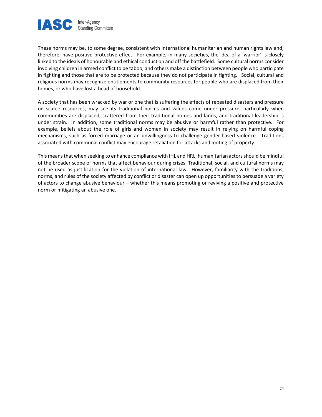

These norms may be, to some degree, consistent with international humanitarian and human rights law and, therefore, have positive protective effect. For example, in many societies, the idea of a 'warrior' is closely linked to the ideals of honourable and ethical conduct on and off the battlefield. Some cultural norms consider involving children in armed conflict to be taboo, and others make a distinction between people who participate in fighting and those that are to be protected because they do not participate in fighting. Social, cultural and religious norms may recognize entitlements to community resources for people who are displaced from their homes, or who have lost a head of household.

A society that has been wracked by war or one that is suffering the effects of repeated disasters and pressure on scarce resources, may see its traditional norms and values come under pressure, particularly when communities are displaced, scattered from their traditional homes and lands, and traditional leadership is under strain. In addition, some traditional norms may be abusive or harmful rather than protective. For example, beliefs about the role of girls and women in society may result in relying on harmful coping mechanisms, such as forced marriage or an unwillingness to challenge gender-based violence. Traditions associated with communal conflict may encourage retaliation for attacks and looting of property.

This means that when seeking to enhance compliance with IHL and HRL, humanitarian actors should be mindful of the broader scope of norms that affect behaviour during crises. Traditional, social, and cultural norms may not be used as justification for the violation of international law. However, familiarity with the traditions, norms, and rules of the society affected by conflict or disaster can open up opportunities to persuade a variety of actors to change abusive behaviour – whether this means promoting or reviving a positive and protective norm or mitigating an abusive one.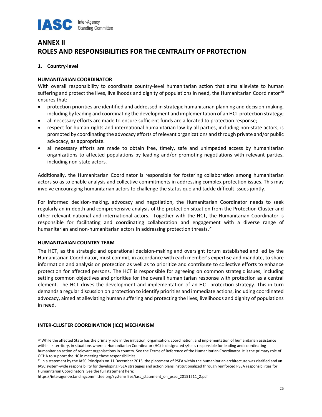

# ANNEX II ROLES AND RESPONSIBILITIES FOR THE CENTRALITY OF PROTECTION

## 1. Country-level

## HUMANITARIAN COORDINATOR

With overall responsibility to coordinate country-level humanitarian action that aims alleviate to human suffering and protect the lives, livelihoods and dignity of populations in need, the Humanitarian Coordinator<sup>20</sup> ensures that:

- protection priorities are identified and addressed in strategic humanitarian planning and decision-making, including by leading and coordinating the development and implementation of an HCT protection strategy;
- all necessary efforts are made to ensure sufficient funds are allocated to protection response;
- respect for human rights and international humanitarian law by all parties, including non-state actors, is promoted by coordinating the advocacy efforts of relevant organizations and through private and/or public advocacy, as appropriate.
- all necessary efforts are made to obtain free, timely, safe and unimpeded access by humanitarian organizations to affected populations by leading and/or promoting negotiations with relevant parties, including non-state actors.

Additionally, the Humanitarian Coordinator is responsible for fostering collaboration among humanitarian actors so as to enable analysis and collective commitments in addressing complex protection issues. This may involve encouraging humanitarian actors to challenge the status quo and tackle difficult issues jointly.

For informed decision-making, advocacy and negotiation, the Humanitarian Coordinator needs to seek regularly an in-depth and comprehensive analysis of the protection situation from the Protection Cluster and other relevant national and international actors. Together with the HCT, the Humanitarian Coordinator is responsible for facilitating and coordinating collaboration and engagement with a diverse range of humanitarian and non-humanitarian actors in addressing protection threats.<sup>21</sup>

## HUMANITARIAN COUNTRY TEAM

The HCT, as the strategic and operational decision-making and oversight forum established and led by the Humanitarian Coordinator, must commit, in accordance with each member's expertise and mandate, to share information and analysis on protection as well as to prioritize and contribute to collective efforts to enhance protection for affected persons. The HCT is responsible for agreeing on common strategic issues, including setting common objectives and priorities for the overall humanitarian response with protection as a central element. The HCT drives the development and implementation of an HCT protection strategy. This in turn demands a regular discussion on protection to identify priorities and immediate actions, including coordinated advocacy, aimed at alleviating human suffering and protecting the lives, livelihoods and dignity of populations in need.

## INTER-CLUSTER COORDINATION (ICC) MECHANISM

<sup>&</sup>lt;sup>20</sup> While the affected State has the primary role in the initiation, organisation, coordination, and implementation of humanitarian assistance within its territory, in situations where a Humanitarian Coordinator (HC) is designated s/he is responsible for leading and coordinating humanitarian action of relevant organisations in country. See the Terms of Reference of the Humanitarian Coordinator. It is the primary role of OCHA to support the HC in meeting these responsibilities.

<sup>&</sup>lt;sup>21</sup> In a statement by the IASC Principals on 11 December 2015, the placement of PSEA within the humanitarian architecture was clarified and an IASC system-wide responsibility for developing PSEA strategies and action plans institutionalized through reinforced PSEA responsibilities for Humanitarian Coordinators. See the full statement here:

https://interagencystandingcommittee.org/system/files/iasc\_statement\_on\_psea\_20151211\_2.pdf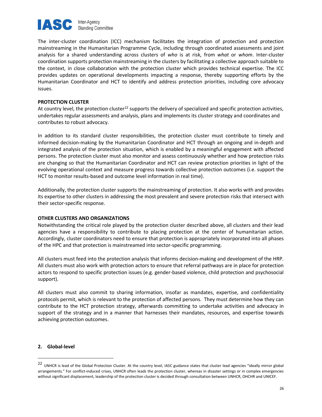

The inter-cluster coordination (ICC) mechanism facilitates the integration of protection and protection mainstreaming in the Humanitarian Programme Cycle, including through coordinated assessments and joint analysis for a shared understanding across clusters of who is at risk, from what or whom. Inter-cluster coordination supports protection mainstreaming in the clusters by facilitating a collective approach suitable to the context, in close collaboration with the protection cluster which provides technical expertise. The ICC provides updates on operational developments impacting a response, thereby supporting efforts by the Humanitarian Coordinator and HCT to identify and address protection priorities, including core advocacy issues.

#### PROTECTION CLUSTER

At country level, the protection cluster<sup>22</sup> supports the delivery of specialized and specific protection activities, undertakes regular assessments and analysis, plans and implements its cluster strategy and coordinates and contributes to robust advocacy.

In addition to its standard cluster responsibilities, the protection cluster must contribute to timely and informed decision-making by the Humanitarian Coordinator and HCT through an ongoing and in-depth and integrated analysis of the protection situation, which is enabled by a meaningful engagement with affected persons. The protection cluster must also monitor and assess continuously whether and how protection risks are changing so that the Humanitarian Coordinator and HCT can review protection priorities in light of the evolving operational context and measure progress towards collective protection outcomes (i.e. support the HCT to monitor results-based and outcome level information in real time).

Additionally, the protection cluster supports the mainstreaming of protection. It also works with and provides its expertise to other clusters in addressing the most prevalent and severe protection risks that intersect with their sector-specific response.

## OTHER CLUSTERS AND ORGANIZATIONS

Notwithstanding the critical role played by the protection cluster described above, all clusters and their lead agencies have a responsibility to contribute to placing protection at the center of humanitarian action. Accordingly, cluster coordinators need to ensure that protection is appropriately incorporated into all phases of the HPC and that protection is mainstreamed into sector-specific programming.

All clusters must feed into the protection analysis that informs decision-making and development of the HRP. All clusters must also work with protection actors to ensure that referral pathways are in place for protection actors to respond to specific protection issues (e.g. gender-based violence, child protection and psychosocial support).

All clusters must also commit to sharing information, insofar as mandates, expertise, and confidentiality protocols permit, which is relevant to the protection of affected persons. They must determine how they can contribute to the HCT protection strategy, afterwards committing to undertake activities and advocacy in support of the strategy and in a manner that harnesses their mandates, resources, and expertise towards achieving protection outcomes.

#### 2. Global-level

<sup>22</sup> UNHCR is lead of the Global Protection Cluster. At the country level, IASC guidance states that cluster lead agencies "ideally mirror global arrangements." For conflict-induced crises, UNHCR often leads the protection cluster, whereas in disaster settings or in complex emergencies without significant displacement, leadership of the protection cluster is decided through consultation between UNHCR, OHCHR and UNICEF.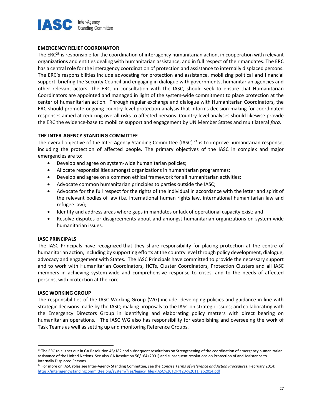

## EMERGENCY RELIEF COORDINATOR

The  $ERC<sup>23</sup>$  is responsible for the coordination of interagency humanitarian action, in cooperation with relevant organizations and entities dealing with humanitarian assistance, and in full respect of their mandates. The ERC has a central role for the interagency coordination of protection and assistance to internally displaced persons. The ERC's responsibilities include advocating for protection and assistance, mobilizing political and financial support, briefing the Security Council and engaging in dialogue with governments, humanitarian agencies and other relevant actors. The ERC, in consultation with the IASC, should seek to ensure that Humanitarian Coordinators are appointed and managed in light of the system-wide commitment to place protection at the center of humanitarian action. Through regular exchange and dialogue with Humanitarian Coordinators, the ERC should promote ongoing country-level protection analysis that informs decision-making for coordinated responses aimed at reducing overall risks to affected persons. Country-level analyses should likewise provide the ERC the evidence-base to mobilize support and engagement by UN Member States and multilateral fora.

## THE INTER-AGENCY STANDING COMMITTEE

The overall objective of the Inter-Agency Standing Committee (IASC)<sup>24</sup> is to improve humanitarian response, including the protection of affected people. The primary objectives of the IASC in complex and major emergencies are to:

- Develop and agree on system-wide humanitarian policies;
- Allocate responsibilities amongst organizations in humanitarian programmes;
- Develop and agree on a common ethical framework for all humanitarian activities;
- Advocate common humanitarian principles to parties outside the IASC;
- Advocate for the full respect for the rights of the individual in accordance with the letter and spirit of the relevant bodies of law (i.e. international human rights law, international humanitarian law and refugee law);
- Identify and address areas where gaps in mandates or lack of operational capacity exist; and
- Resolve disputes or disagreements about and amongst humanitarian organizations on system-wide humanitarian issues.

## IASC PRINCIPALS

The IASC Principals have recognized that they share responsibility for placing protection at the centre of humanitarian action, including by supporting efforts at the country level through policy development, dialogue, advocacy and engagement with States. The IASC Principals have committed to provide the necessary support and to work with Humanitarian Coordinators, HCTs, Cluster Coordinators, Protection Clusters and all IASC members in achieving system-wide and comprehensive response to crises, and to the needs of affected persons, with protection at the core.

#### IASC WORKING GROUP

The responsibilities of the IASC Working Group (WG) include: developing policies and guidance in line with strategic decisions made by the IASC; making proposals to the IASC on strategic issues; and collaborating with the Emergency Directors Group in identifying and elaborating policy matters with direct bearing on humanitarian operations. The IASC WG also has responsibility for establishing and overseeing the work of Task Teams as well as setting up and monitoring Reference Groups.

<sup>&</sup>lt;sup>23</sup> The ERC role is set out in GA Resolution 46/182 and subsequent resolutions on Strengthening of the coordination of emergency humanitarian assistance of the United Nations. See also GA Resolution 56/164 (2001) and subsequent resolutions on Protection of and Assistance to Internally Displaced Persons.

<sup>&</sup>lt;sup>24</sup> For more on IASC roles see Inter-Agency Standing Committee, see the Concise Terms of Reference and Action Procedures, February 2014: https://interagencystandingcommittee.org/system/files/legacy\_files/IASC%20TOR%20-%2011Feb2014.pdf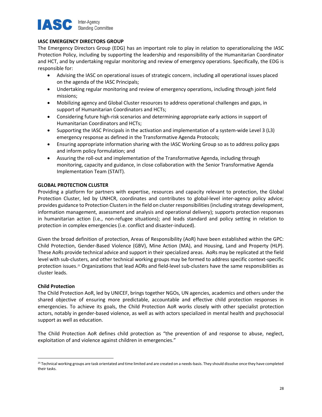

## IASC EMERGENCY DIRECTORS GROUP

The Emergency Directors Group (EDG) has an important role to play in relation to operationalizing the IASC Protection Policy, including by supporting the leadership and responsibility of the Humanitarian Coordinator and HCT, and by undertaking regular monitoring and review of emergency operations. Specifically, the EDG is responsible for:

- Advising the IASC on operational issues of strategic concern, including all operational issues placed on the agenda of the IASC Principals;
- Undertaking regular monitoring and review of emergency operations, including through joint field missions;
- Mobilizing agency and Global Cluster resources to address operational challenges and gaps, in support of Humanitarian Coordinators and HCTs;
- Considering future high-risk scenarios and determining appropriate early actions in support of Humanitarian Coordinators and HCTs;
- Supporting the IASC Principals in the activation and implementation of a system-wide Level 3 (L3) emergency response as defined in the Transformative Agenda Protocols;
- Ensuring appropriate information sharing with the IASC Working Group so as to address policy gaps and inform policy formulation; and
- Assuring the roll-out and implementation of the Transformative Agenda, including through monitoring, capacity and guidance, in close collaboration with the Senior Transformative Agenda Implementation Team (STAIT).

## GLOBAL PROTECTION CLUSTER

Providing a platform for partners with expertise, resources and capacity relevant to protection, the Global Protection Cluster, led by UNHCR, coordinates and contributes to global-level inter-agency policy advice; provides guidance to Protection Clusters in the field on cluster responsibilities (including strategy development, information management, assessment and analysis and operational delivery); supports protection responses in humanitarian action (i.e., non-refugee situations); and leads standard and policy setting in relation to protection in complex emergencies (i.e. conflict and disaster-induced).

Given the broad definition of protection, Areas of Responsibility (AoR) have been established within the GPC: Child Protection, Gender-Based Violence (GBV), Mine Action (MA), and Housing, Land and Property (HLP). These AoRs provide technical advice and support in their specialized areas. AoRs may be replicated at the field level with sub-clusters, and other technical working groups may be formed to address specific context-specific protection issues.<sup>25</sup> Organizations that lead AORs and field-level sub-clusters have the same responsibilities as cluster leads.

## Child Protection

The Child Protection AoR, led by UNICEF, brings together NGOs, UN agencies, academics and others under the shared objective of ensuring more predictable, accountable and effective child protection responses in emergencies. To achieve its goals, the Child Protection AoR works closely with other specialist protection actors, notably in gender-based violence, as well as with actors specialized in mental health and psychosocial support as well as education.

The Child Protection AoR defines child protection as "the prevention of and response to abuse, neglect, exploitation of and violence against children in emergencies."

<sup>&</sup>lt;sup>25</sup> Technical working groups are task orientated and time limited and are created on a needs-basis. They should dissolve once they have completed their tasks.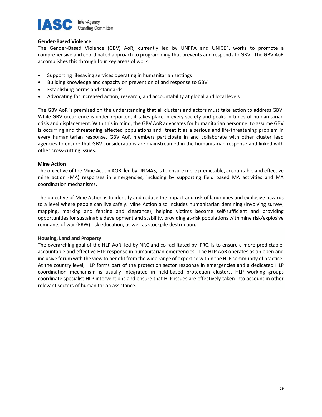

## Gender-Based Violence

The Gender-Based Violence (GBV) AoR, currently led by UNFPA and UNICEF, works to promote a comprehensive and coordinated approach to programming that prevents and responds to GBV. The GBV AoR accomplishes this through four key areas of work:

- Supporting lifesaving services operating in humanitarian settings
- Building knowledge and capacity on prevention of and response to GBV
- Establishing norms and standards
- Advocating for increased action, research, and accountability at global and local levels

The GBV AoR is premised on the understanding that all clusters and actors must take action to address GBV. While GBV occurrence is under reported, it takes place in every society and peaks in times of humanitarian crisis and displacement. With this in mind, the GBV AoR advocates for humanitarian personnel to assume GBV is occurring and threatening affected populations and treat it as a serious and life-threatening problem in every humanitarian response. GBV AoR members participate in and collaborate with other cluster lead agencies to ensure that GBV considerations are mainstreamed in the humanitarian response and linked with other cross-cutting issues.

## Mine Action

The objective of the Mine Action AOR, led by UNMAS, is to ensure more predictable, accountable and effective mine action (MA) responses in emergencies, including by supporting field based MA activities and MA coordination mechanisms.

The objective of Mine Action is to identify and reduce the impact and risk of landmines and explosive hazards to a level where people can live safely. Mine Action also includes humanitarian demining (involving survey, mapping, marking and fencing and clearance), helping victims become self-sufficient and providing opportunities for sustainable development and stability, providing at-risk populations with mine risk/explosive remnants of war (ERW) risk education, as well as stockpile destruction.

## Housing, Land and Property

The overarching goal of the HLP AoR, led by NRC and co-facilitated by IFRC, is to ensure a more predictable, accountable and effective HLP response in humanitarian emergencies. The HLP AoR operates as an open and inclusive forum with the view to benefit from the wide range of expertise within the HLP community of practice. At the country level, HLP forms part of the protection sector response in emergencies and a dedicated HLP coordination mechanism is usually integrated in field-based protection clusters. HLP working groups coordinate specialist HLP interventions and ensure that HLP issues are effectively taken into account in other relevant sectors of humanitarian assistance.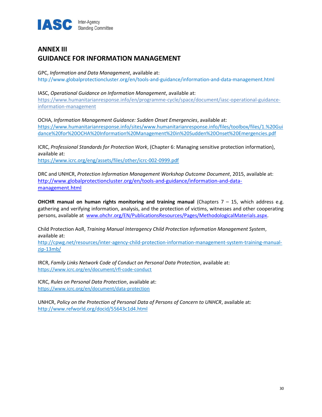

# ANNEX III GUIDANCE FOR INFORMATION MANAGEMENT

GPC, Information and Data Management, available at:

http://www.globalprotectioncluster.org/en/tools-and-guidance/information-and-data-management.html

## IASC, Operational Guidance on Information Management, available at:

https://www.humanitarianresponse.info/en/programme-cycle/space/document/iasc-operational-guidanceinformation-management

OCHA, Information Management Guidance: Sudden Onset Emergencies, available at: https://www.humanitarianresponse.info/sites/www.humanitarianresponse.info/files/toolbox/files/1.%20Gui dance%20for%20OCHA%20Information%20Management%20in%20Sudden%20Onset%20Emergencies.pdf

ICRC, Professional Standards for Protection Work, (Chapter 6: Managing sensitive protection information), available at: https://www.icrc.org/eng/assets/files/other/icrc-002-0999.pdf

DRC and UNHCR, Protection Information Management Workshop Outcome Document, 2015, available at: http://www.globalprotectioncluster.org/en/tools-and-guidance/information-and-datamanagement.html

**OHCHR manual on human rights monitoring and training manual (Chapters**  $7 - 15$ **, which address e.g.** gathering and verifying information, analysis, and the protection of victims, witnesses and other cooperating persons, available at www.ohchr.org/EN/PublicationsResources/Pages/MethodologicalMaterials.aspx.

Child Protection AoR, Training Manual Interagency Child Protection Information Management System, available at:

http://cpwg.net/resources/inter-agency-child-protection-information-management-system-training-manualzip-13mb/

IRCR, Family Links Network Code of Conduct on Personal Data Protection, available at: https://www.icrc.org/en/document/rfl-code-conduct

ICRC, Rules on Personal Data Protection, available at: https://www.icrc.org/en/document/data-protection

UNHCR, Policy on the Protection of Personal Data of Persons of Concern to UNHCR, available at: http://www.refworld.org/docid/55643c1d4.html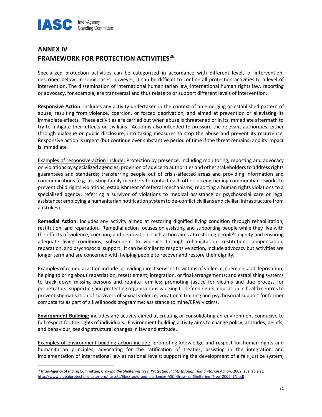

## ANNEX IV FRAMEWORK FOR PROTECTION ACTIVITIES<sup>26</sup>

Specialized protection activities can be categorized in accordance with different levels of intervention, described below. In some cases, however, it can be difficult to confine all protection activities to a level of intervention. The dissemination of international humanitarian law, international human rights law, reporting or advocacy, for example, are transversal and thus relate to or support different levels of intervention.

Responsive Action: includes any activity undertaken in the context of an emerging or established pattern of abuse, resulting from violence, coercion, or forced deprivation, and aimed at prevention or alleviating its immediate effects. These activities are carried out when abuse is threatened or in its immediate aftermath to try to mitigate their effects on civilians. Action is also intended to pressure the relevant authorities, either through dialogue or public disclosure, into taking measures to stop the abuse and prevent its recurrence. Responsive action is urgent (but continue over substantive period of time if the threat remains) and its impact is immediate

Examples of responsive action include: Protection by presence, including monitoring, reporting and advocacy on violations by specialized agencies; provision of advice to authorities and other stakeholders to address rights guarantees and standards; transferring people out of crisis-affected areas and providing information and communications (e.g. assisting family members to contact each other; strengthening community networks to prevent child rights violations; establishment of referral mechanisms; reporting a human rights violations to a specialized agency; referring a survivor of violations to medical assistance or psychosocial care or legal assistance; employing a humanitarian notification system to de-conflict civilians and civilian infrastructure from airstrikes).

Remedial Action: includes any activity aimed at restoring dignified living condition through rehabilitation, restitution, and reparation. Remedial action focuses on assisting and supporting people while they live with the effects of violence, coercion, and deprivation; such action aims at restoring people's dignity and ensuring adequate living conditions, subsequent to violence through rehabilitation, restitution, compensation, reparation, and psychosocial support. It can be similar to responsive action, include advocacy but activities are longer term and are concerned with helping people to recover and restore their dignity.

Examples of remedial action include: providing direct services to victims of violence, coercion, and deprivation; helping to bring about repatriation, resettlement, integration, or final arrangements; and establishing systems to track down missing persons and reunite families; promoting justice for victims and due process for perpetrators; supporting and protecting organisations working to defend rights; education in health centres to prevent stigmatisation of survivors of sexual violence; vocational training and psychosocial support for former combatants as part of a livelihoods programme; assistance to mine/ERW victims.

Environment Building: includes any activity aimed at creating or consolidating an environment conducive to full respect for the rights of individuals. Environment building activity aims to change policy, attitudes, beliefs, and behaviour, seeking structural changes in law and attitude.

Examples of environment-building action include: promoting knowledge and respect for human rights and humanitarian principles; advocating for the ratification of treaties; assisting in the integration and implementation of international law at national levels; supporting the development of a fair justice system;

<sup>&</sup>lt;sup>26</sup> Inter-Agency Standing Committee, Growing the Sheltering Tree: Protecting Rights through Humanitarian Action, 2002, available at: http://www.globalprotectioncluster.org/\_assets/files/tools\_and\_guidance/IASC\_Growing\_Sheltering\_Tree\_2002\_EN.pdf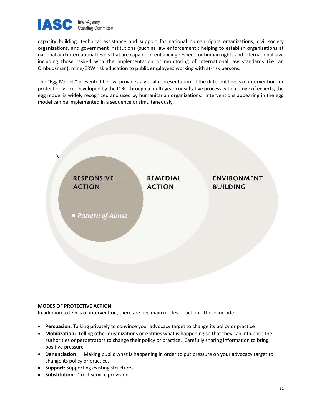

capacity building, technical assistance and support for national human rights organizations, civil society organisations, and government institutions (such as law enforcement); helping to establish organisations at national and international levels that are capable of enhancing respect for human rights and international law, including those tasked with the implementation or monitoring of international law standards (i.e. an Ombudsman); mine/ERW risk education to public employees working with at-risk persons.

The "Egg Model," presented below, provides a visual representation of the different levels of intervention for protection work. Developed by the ICRC through a multi-year consultative process with a range of experts, the egg model is widely recognized and used by humanitarian organizations. Interventions appearing in the egg model can be implemented in a sequence or simultaneously.



## MODES OF PROTECTIVE ACTION

In addition to levels of intervention, there are five main modes of action. These include:

- Persuasion: Talking privately to convince your advocacy target to change its policy or practice
- Mobilization: Telling other organizations or entities what is happening so that they can influence the authorities or perpetrators to change their policy or practice. Carefully sharing information to bring positive pressure
- Denunciation: Making public what is happening in order to put pressure on your advocacy target to change its policy or practice.
- Support: Supporting existing structures
- **Substitution:** Direct service provision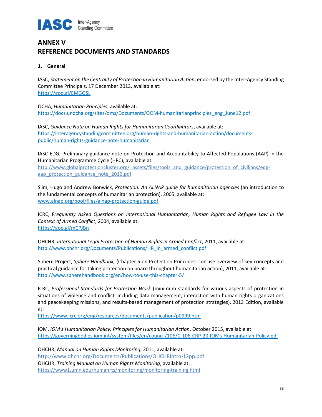

# ANNEX V REFERENCE DOCUMENTS AND STANDARDS

## 1. General

IASC, Statement on the Centrality of Protection in Humanitarian Action, endorsed by the Inter-Agency Standing Committee Principals, 17 December 2013, available at: https://goo.gl/EMGQSL

OCHA, Humanitarian Principles, available at: https://docs.unocha.org/sites/dms/Documents/OOM-humanitarianprinciples\_eng\_June12.pdf

IASC, Guidance Note on Human Rights for Humanitarian Coordinators, available at: https://interagencystandingcommittee.org/human-rights-and-humanitarian-action/documentspublic/human-rights-guidance-note-humanitarian

IASC EDG, Preliminary guidance note on Protection and Accountability to Affected Populations (AAP) in the Humanitarian Programme Cycle (HPC), available at:

http://www.globalprotectioncluster.org/\_assets/files/tools\_and\_guidance/protection\_of\_civilians/edgaap\_protection\_guidance\_note\_2016.pdf

Slim, Hugo and Andrew Bonwick, Protection: An ALNAP quide for humanitarian agencies (an introduction to the fundamental concepts of humanitarian protection), 2005, available at: www.alnap.org/pool/files/alnap-protection-guide.pdf

ICRC, Frequently Asked Questions on International Humanitarian, Human Rights and Refugee Law in the Context of Armed Conflict, 2004, available at: https://goo.gl/mCPJBn

OHCHR, International Legal Protection of Human Rights in Armed Conflict, 2011, available at: http://www.ohchr.org/Documents/Publications/HR\_in\_armed\_conflict.pdf

Sphere Project, Sphere Handbook, (Chapter 5 on Protection Principles: concise overview of key concepts and practical guidance for taking protection on board throughout humanitarian action), 2011, available at: http://www.spherehandbook.org/en/how-to-use-this-chapter-5/

ICRC, Professional Standards for Protection Work (minimum standards for various aspects of protection in situations of violence and conflict, including data management, interaction with human rights organizations and peacekeeping missions, and results-based management of protection strategies), 2013 Edition, available at:

https://www.icrc.org/eng/resources/documents/publication/p0999.htm

IOM, IOM's Humanitarian Policy: Principles for Humanitarian Action, October 2015, available at: https://governingbodies.iom.int/system/files/en/council/106/C-106-CRP-20-IOMs-Humanitarian-Policy.pdf

OHCHR, Manual on Human Rights Monitoring, 2011, available at: http://www.ohchr.org/Documents/Publications/OHCHRIntro-12pp.pdf OHCHR, Training Manual on Human Rights Monitoring, available at: https://www1.umn.edu/humanrts/monitoring/monitoring-training.html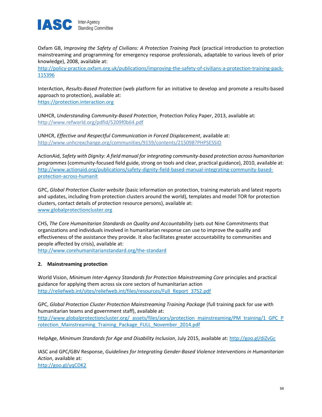

Oxfam GB, Improving the Safety of Civilians: A Protection Training Pack (practical introduction to protection mainstreaming and programming for emergency response professionals, adaptable to various levels of prior knowledge), 2008, available at:

http://policy-practice.oxfam.org.uk/publications/improving-the-safety-of-civilians-a-protection-training-pack-115396

InterAction, Results-Based Protection (web platform for an initiative to develop and promote a results-based approach to protection), available at: https://protection.interaction.org

UNHCR, Understanding Community-Based Protection¸ Protection Policy Paper, 2013, available at: http://www.refworld.org/pdfid/5209f0b64.pdf

UNHCR, Effective and Respectful Communication in Forced Displacement, available at: http://www.unhcrexchange.org/communities/9159/contents/215098?PHPSESSID

ActionAid, Safety with Dignity: A field manual for integrating community-based protection across humanitarian programmes (community-focused field guide, strong on tools and clear, practical guidance), 2010, available at: http://www.actionaid.org/publications/safety-dignity-field-based-manual-integrating-community-basedprotection-across-humanit

GPC, Global Protection Cluster website (basic information on protection, training materials and latest reports and updates, including from protection clusters around the world), templates and model TOR for protection clusters, contact details of protection resource persons), available at: www.globalprotectioncluster.org

CHS, The Core Humanitarian Standards on Quality and Accountability (sets out Nine Commitments that organizations and individuals involved in humanitarian response can use to improve the quality and effectiveness of the assistance they provide. It also facilitates greater accountability to communities and people affected by crisis), available at:

http://www.corehumanitarianstandard.org/the-standard

## 2. Mainstreaming protection

World Vision, Minimum Inter-Agency Standards for Protection Mainstreaming Core principles and practical guidance for applying them across six core sectors of humanitarian action http://reliefweb.int/sites/reliefweb.int/files/resources/Full\_Report\_3752.pdf

GPC, Global Protection Cluster Protection Mainstreaming Training Package (full training pack for use with humanitarian teams and government staff), available at: http://www.globalprotectioncluster.org/\_assets/files/aors/protection\_mainstreaming/PM\_training/1\_GPC\_P rotection\_Mainstreaming\_Training\_Package\_FULL\_November\_2014.pdf

HelpAge, Minimum Standards for Age and Disability Inclusion, July 2015, available at: http://goo.gl/diZvGc

IASC and GPC/GBV Response, Guidelines for Integrating Gender-Based Violence Interventions in Humanitarian Action, available at: http://goo.gl/yqCDK2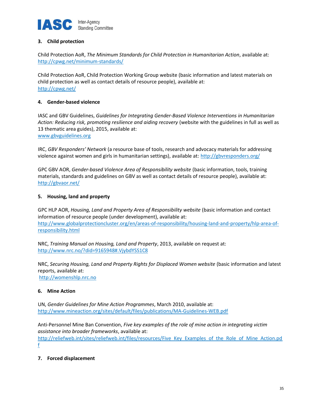

## 3. Child protection

Child Protection AoR, The Minimum Standards for Child Protection in Humanitarian Action, available at: http://cpwg.net/minimum-standards/

Child Protection AoR, Child Protection Working Group website (basic information and latest materials on child protection as well as contact details of resource people), available at: http://cpwg.net/

## 4. Gender-based violence

IASC and GBV Guidelines, Guidelines for Integrating Gender-Based Violence Interventions in Humanitarian Action: Reducing risk, promoting resilience and aiding recovery (website with the guidelines in full as well as 13 thematic area guides), 2015, available at: www.gbvguidelines.org

IRC, GBV Responders' Network (a resource base of tools, research and advocacy materials for addressing violence against women and girls in humanitarian settings), available at: http://gbvresponders.org/

GPC GBV AOR, Gender-based Violence Area of Responsibility website (basic information, tools, training materials, standards and guidelines on GBV as well as contact details of resource people), available at: http://gbvaor.net/

## 5. Housing, land and property

GPC HLP AOR, Housing, Land and Property Area of Responsibility website (basic information and contact information of resource people (under development), available at: http://www.globalprotectioncluster.org/en/areas-of-responsibility/housing-land-and-property/hlp-area-ofresponsibility.html

NRC, Training Manual on Housing, Land and Property, 2013, available on request at: http://www.nrc.no/?did=9165948#.VjybdYSS1C8

NRC, Securing Housing, Land and Property Rights for Displaced Women website (basic information and latest reports, available at: http://womenshlp.nrc.no

6. Mine Action

UN, Gender Guidelines for Mine Action Programmes, March 2010, available at: http://www.mineaction.org/sites/default/files/publications/MA-Guidelines-WEB.pdf

Anti-Personnel Mine Ban Convention, Five key examples of the role of mine action in integrating victim assistance into broader frameworks, available at:

http://reliefweb.int/sites/reliefweb.int/files/resources/Five\_Key\_Examples\_of\_the\_Role\_of\_Mine\_Action.pd f

## 7. Forced displacement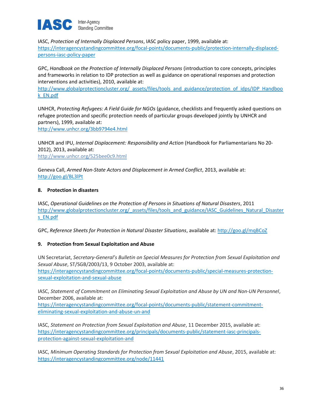

IASC, Protection of Internally Displaced Persons, IASC policy paper, 1999, available at: https://interagencystandingcommittee.org/focal-points/documents-public/protection-internally-displacedpersons-iasc-policy-paper

GPC, Handbook on the Protection of Internally Displaced Persons (introduction to core concepts, principles and frameworks in relation to IDP protection as well as guidance on operational responses and protection interventions and activities), 2010, available at:

http://www.globalprotectioncluster.org/\_assets/files/tools\_and\_guidance/protection\_of\_idps/IDP\_Handboo k\_EN.pdf

UNHCR, Protecting Refugees: A Field Guide for NGOs (guidance, checklists and frequently asked questions on refugee protection and specific protection needs of particular groups developed jointly by UNHCR and partners), 1999, available at:

http://www.unhcr.org/3bb9794e4.html

UNHCR and IPU, Internal Displacement: Responsibility and Action (Handbook for Parliamentarians No 20- 2012), 2013, available at: http://www.unhcr.org/525bee0c9.html

Geneva Call, Armed Non-State Actors and Displacement in Armed Conflict, 2013, available at: http://goo.gl/BL3lPt

## 8. Protection in disasters

IASC, Operational Guidelines on the Protection of Persons in Situations of Natural Disasters, 2011 http://www.globalprotectioncluster.org/\_assets/files/tools\_and\_guidance/IASC\_Guidelines\_Natural\_Disaster s\_EN.pdf

GPC, Reference Sheets for Protection in Natural Disaster Situations, available at: http://goo.gl/mqBCoZ

## 9. Protection from Sexual Exploitation and Abuse

UN Secretariat, Secretary-General's Bulletin on Special Measures for Protection from Sexual Exploitation and Sexual Abuse, ST/SGB/2003/13, 9 October 2003, available at: https://interagencystandingcommittee.org/focal-points/documents-public/special-measures-protectionsexual-exploitation-and-sexual-abuse

IASC, Statement of Commitment on Eliminating Sexual Exploitation and Abuse by UN and Non-UN Personnel, December 2006, available at:

https://interagencystandingcommittee.org/focal-points/documents-public/statement-commitmenteliminating-sexual-exploitation-and-abuse-un-and

IASC, Statement on Protection from Sexual Exploitation and Abuse, 11 December 2015, available at: https://interagencystandingcommittee.org/principals/documents-public/statement-iasc-principalsprotection-against-sexual-exploitation-and

IASC, Minimum Operating Standards for Protection from Sexual Exploitation and Abuse, 2015, available at: https://interagencystandingcommittee.org/node/11441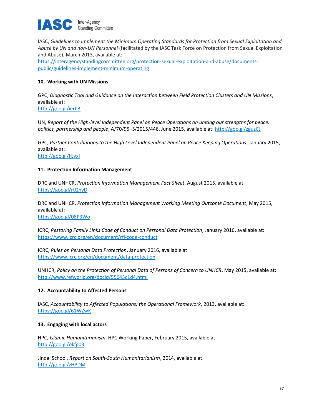

IASC, Guidelines to Implement the Minimum Operating Standards for Protection from Sexual Exploitation and Abuse by UN and non-UN Personnel (facilitated by the IASC Task Force on Protection from Sexual Exploitation and Abuse), March 2013, available at: https://interagencystandingcommittee.org/protection-sexual-exploitation-and-abuse/documentspublic/guidelines-implement-minimum-operating

## 10. Working with UN Missions

GPC, Diagnostic Tool and Guidance on the Interaction between Field Protection Clusters and UN Missions, available at:

http://goo.gl/ierh3

UN, Report of the High-level Independent Panel on Peace Operations on uniting our strengths for peace: politics, partnership and people, A/70/95–S/2015/446, June 2015, available at: http://goo.gl/zguzCJ

GPC, Partner Contributions to the High Level Independent Panel on Peace Keeping Operations, January 2015, available at:

http://goo.gl/fjJvxI

## 11. Protection Information Management

DRC and UNHCR, Protection Information Management Fact Sheet, August 2015, available at: https://goo.gl/rtQnyD

DRC and UNHCR, Protection Information Management Working Meeting Outcome Document, May 2015, available at: https://goo.gl/08P3Wo

ICRC, Restoring Family Links Code of Conduct on Personal Data Protection, January 2016, available at: https://www.icrc.org/en/document/rfl-code-conduct

ICRC, Rules on Personal Data Protection, January 2016, available at: https://www.icrc.org/en/document/data-protection

UNHCR, Policy on the Protection of Personal Data of Persons of Concern to UNHCR, May 2015, available at: http://www.refworld.org/docid/55643c1d4.html

## 12. Accountability to Affected Persons

IASC, Accountability to Affected Populations: the Operational Framework, 2013, available at: https://goo.gl/61WZwK

## 13. Engaging with local actors

HPC, Islamic Humanitarianism, HPC Working Paper, February 2015, available at: http://goo.gl/okfgo3

Jindal School, Report on South-South Humanitarianism, 2014, available at: http://goo.gl/zHPDM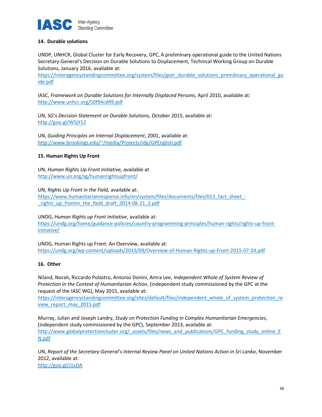

## 14. Durable solutions

UNDP, UNHCR, Global Cluster for Early Recovery, GPC, A preliminary operational guide to the United Nations Secretary-General's Decision on Durable Solutions to Displacement, Technical Working Group on Durable Solutions, January 2016, available at:

https://interagencystandingcommittee.org/system/files/gcer\_durable\_solutions\_premilinary\_operational\_gu ide.pdf

IASC, Framework on Durable Solutions for Internally Displaced Persons, April 2010, available at: http://www.unhcr.org/50f94cd49.pdf

UN, SG's Decision Statement on Durable Solutions, October 2015, available at: http://goo.gl/W5jY12

UN, Guiding Principles on Internal Displacement, 2001, available at: http://www.brookings.edu/~/media/Projects/idp/GPEnglish.pdf

## 15. Human Rights Up Front

UN, Human Rights Up Front Initiative, available at http://www.un.org/sg/humanrightsupfront/

UN, Rights Up Front in the Field, available at: https://www.humanitarianresponse.info/en/system/files/documents/files/013\_fact\_sheet\_- \_rights\_up\_frontin\_the\_field\_draft\_2014-08-21\_2.pdf

UNDG, Human Rights up Front Initiative, available at: https://undg.org/home/guidance-policies/country-programming-principles/human-rights/rights-up-frontinitiative/

UNDG, Human Rights up Front: An Overview, available at: https://undg.org/wp-content/uploads/2015/09/Overview-of-Human-Rights-up-Front-2015-07-24.pdf

## 16. Other

Niland, Norah, Riccardo Polastro, Antonio Donini, Amra Lee, Independent Whole of System Review of Protection in the Context of Humanitarian Action, (independent study commissioned by the GPC at the request of the IASC WG), May 2015, available at:

https://interagencystandingcommittee.org/sites/default/files/independent\_whole\_of\_system\_protection\_re view report may 2015.pdf

Murray, Julian and Joseph Landry, Study on Protection Funding in Complex Humanitarian Emergencies, (independent study commissioned by the GPC), September 2013, available at: http://www.globalprotectioncluster.org/\_assets/files/news\_and\_publications/GPC\_funding\_study\_online\_E N.pdf

UN, Report of the Secretary-General's Internal Review Panel on United Nations Action in Sri Lanka, November 2012, available at: http://goo.gl/J1xDA